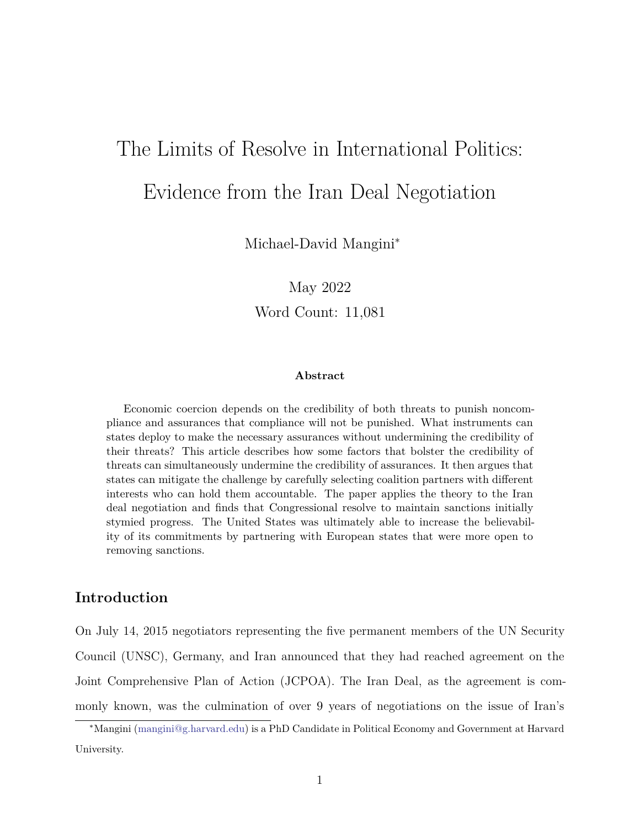# The Limits of Resolve in International Politics: Evidence from the Iran Deal Negotiation

Michael-David Mangini<sup>∗</sup>

May 2022

Word Count: 11,081

#### **Abstract**

Economic coercion depends on the credibility of both threats to punish noncompliance and assurances that compliance will not be punished. What instruments can states deploy to make the necessary assurances without undermining the credibility of their threats? This article describes how some factors that bolster the credibility of threats can simultaneously undermine the credibility of assurances. It then argues that states can mitigate the challenge by carefully selecting coalition partners with different interests who can hold them accountable. The paper applies the theory to the Iran deal negotiation and finds that Congressional resolve to maintain sanctions initially stymied progress. The United States was ultimately able to increase the believability of its commitments by partnering with European states that were more open to removing sanctions.

# **Introduction**

On July 14, 2015 negotiators representing the five permanent members of the UN Security Council (UNSC), Germany, and Iran announced that they had reached agreement on the Joint Comprehensive Plan of Action (JCPOA). The Iran Deal, as the agreement is commonly known, was the culmination of over 9 years of negotiations on the issue of Iran's

<sup>∗</sup>Mangini [\(mangini@g.harvard.edu](mailto:mangini@g.harvard.edu)) is a PhD Candidate in Political Economy and Government at Harvard University.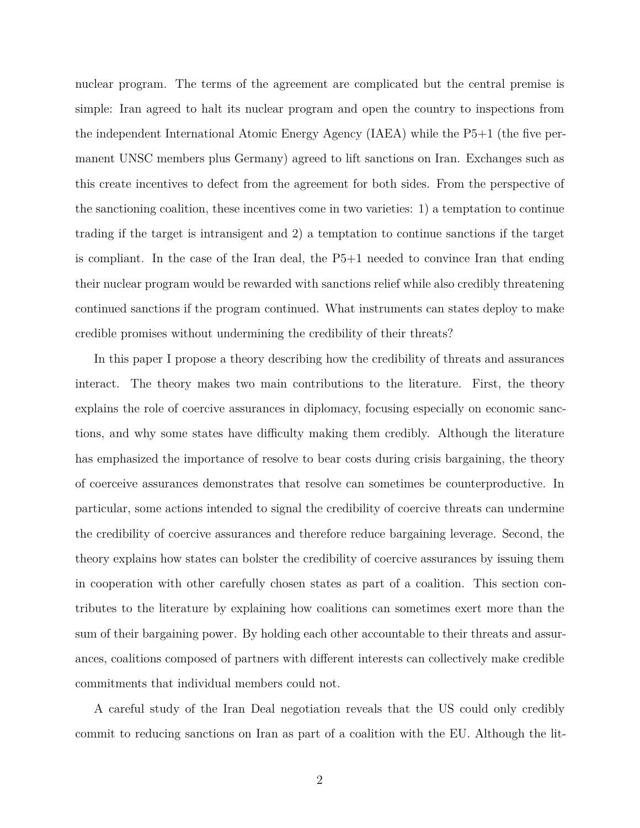nuclear program. The terms of the agreement are complicated but the central premise is simple: Iran agreed to halt its nuclear program and open the country to inspections from the independent International Atomic Energy Agency (IAEA) while the P5+1 (the five permanent UNSC members plus Germany) agreed to lift sanctions on Iran. Exchanges such as this create incentives to defect from the agreement for both sides. From the perspective of the sanctioning coalition, these incentives come in two varieties: 1) a temptation to continue trading if the target is intransigent and 2) a temptation to continue sanctions if the target is compliant. In the case of the Iran deal, the P5+1 needed to convince Iran that ending their nuclear program would be rewarded with sanctions relief while also credibly threatening continued sanctions if the program continued. What instruments can states deploy to make credible promises without undermining the credibility of their threats?

In this paper I propose a theory describing how the credibility of threats and assurances interact. The theory makes two main contributions to the literature. First, the theory explains the role of coercive assurances in diplomacy, focusing especially on economic sanctions, and why some states have difficulty making them credibly. Although the literature has emphasized the importance of resolve to bear costs during crisis bargaining, the theory of coerceive assurances demonstrates that resolve can sometimes be counterproductive. In particular, some actions intended to signal the credibility of coercive threats can undermine the credibility of coercive assurances and therefore reduce bargaining leverage. Second, the theory explains how states can bolster the credibility of coercive assurances by issuing them in cooperation with other carefully chosen states as part of a coalition. This section contributes to the literature by explaining how coalitions can sometimes exert more than the sum of their bargaining power. By holding each other accountable to their threats and assurances, coalitions composed of partners with different interests can collectively make credible commitments that individual members could not.

A careful study of the Iran Deal negotiation reveals that the US could only credibly commit to reducing sanctions on Iran as part of a coalition with the EU. Although the lit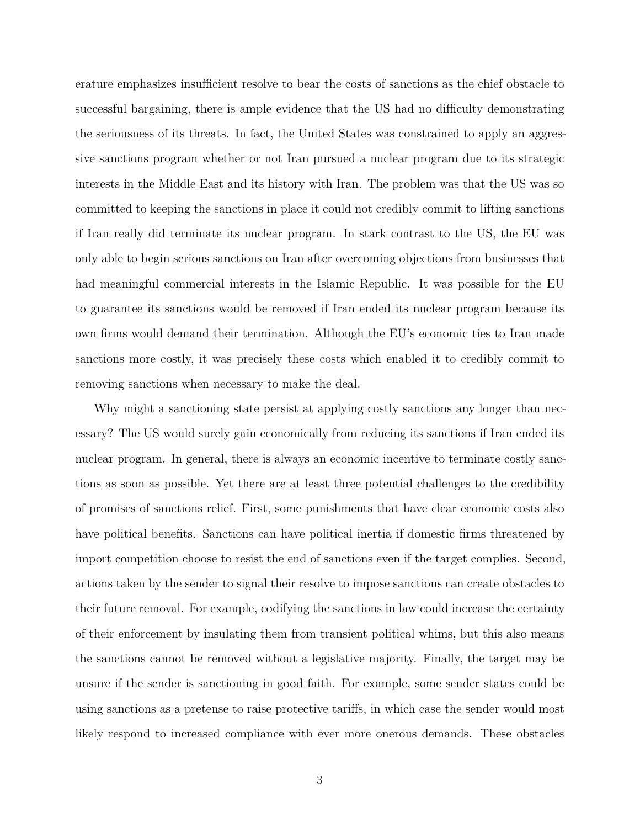erature emphasizes insufficient resolve to bear the costs of sanctions as the chief obstacle to successful bargaining, there is ample evidence that the US had no difficulty demonstrating the seriousness of its threats. In fact, the United States was constrained to apply an aggressive sanctions program whether or not Iran pursued a nuclear program due to its strategic interests in the Middle East and its history with Iran. The problem was that the US was so committed to keeping the sanctions in place it could not credibly commit to lifting sanctions if Iran really did terminate its nuclear program. In stark contrast to the US, the EU was only able to begin serious sanctions on Iran after overcoming objections from businesses that had meaningful commercial interests in the Islamic Republic. It was possible for the EU to guarantee its sanctions would be removed if Iran ended its nuclear program because its own firms would demand their termination. Although the EU's economic ties to Iran made sanctions more costly, it was precisely these costs which enabled it to credibly commit to removing sanctions when necessary to make the deal.

Why might a sanctioning state persist at applying costly sanctions any longer than necessary? The US would surely gain economically from reducing its sanctions if Iran ended its nuclear program. In general, there is always an economic incentive to terminate costly sanctions as soon as possible. Yet there are at least three potential challenges to the credibility of promises of sanctions relief. First, some punishments that have clear economic costs also have political benefits. Sanctions can have political inertia if domestic firms threatened by import competition choose to resist the end of sanctions even if the target complies. Second, actions taken by the sender to signal their resolve to impose sanctions can create obstacles to their future removal. For example, codifying the sanctions in law could increase the certainty of their enforcement by insulating them from transient political whims, but this also means the sanctions cannot be removed without a legislative majority. Finally, the target may be unsure if the sender is sanctioning in good faith. For example, some sender states could be using sanctions as a pretense to raise protective tariffs, in which case the sender would most likely respond to increased compliance with ever more onerous demands. These obstacles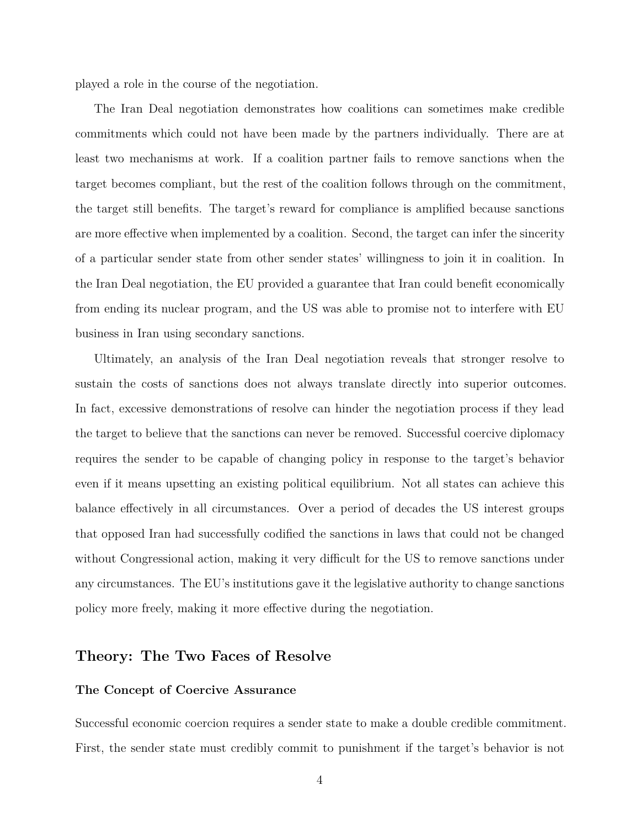played a role in the course of the negotiation.

The Iran Deal negotiation demonstrates how coalitions can sometimes make credible commitments which could not have been made by the partners individually. There are at least two mechanisms at work. If a coalition partner fails to remove sanctions when the target becomes compliant, but the rest of the coalition follows through on the commitment, the target still benefits. The target's reward for compliance is amplified because sanctions are more effective when implemented by a coalition. Second, the target can infer the sincerity of a particular sender state from other sender states' willingness to join it in coalition. In the Iran Deal negotiation, the EU provided a guarantee that Iran could benefit economically from ending its nuclear program, and the US was able to promise not to interfere with EU business in Iran using secondary sanctions.

Ultimately, an analysis of the Iran Deal negotiation reveals that stronger resolve to sustain the costs of sanctions does not always translate directly into superior outcomes. In fact, excessive demonstrations of resolve can hinder the negotiation process if they lead the target to believe that the sanctions can never be removed. Successful coercive diplomacy requires the sender to be capable of changing policy in response to the target's behavior even if it means upsetting an existing political equilibrium. Not all states can achieve this balance effectively in all circumstances. Over a period of decades the US interest groups that opposed Iran had successfully codified the sanctions in laws that could not be changed without Congressional action, making it very difficult for the US to remove sanctions under any circumstances. The EU's institutions gave it the legislative authority to change sanctions policy more freely, making it more effective during the negotiation.

### **Theory: The Two Faces of Resolve**

#### **The Concept of Coercive Assurance**

Successful economic coercion requires a sender state to make a double credible commitment. First, the sender state must credibly commit to punishment if the target's behavior is not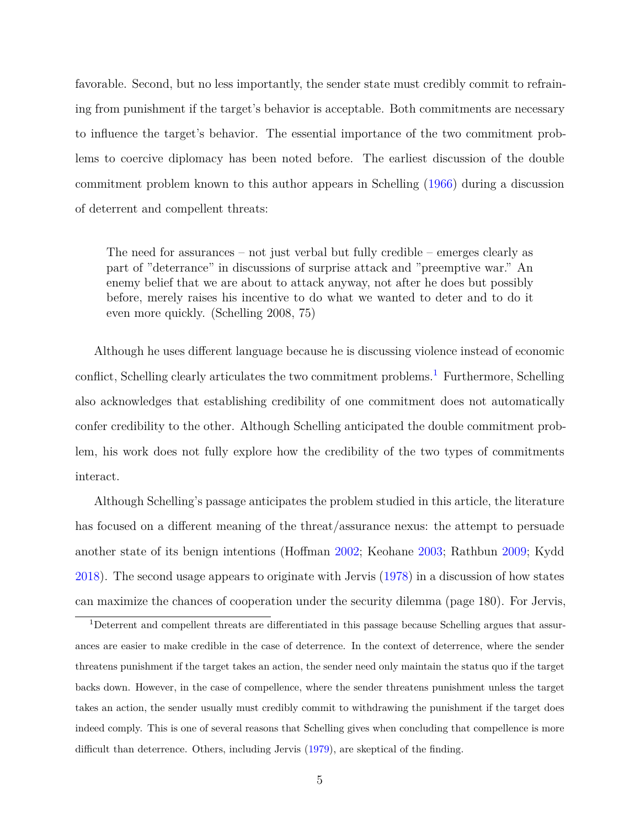favorable. Second, but no less importantly, the sender state must credibly commit to refraining from punishment if the target's behavior is acceptable. Both commitments are necessary to influence the target's behavior. The essential importance of the two commitment problems to coercive diplomacy has been noted before. The earliest discussion of the double commitment problem known to this author appears in Schelling ([1966](#page-35-0)) during a discussion of deterrent and compellent threats:

The need for assurances – not just verbal but fully credible – emerges clearly as part of "deterrance" in discussions of surprise attack and "preemptive war." An enemy belief that we are about to attack anyway, not after he does but possibly before, merely raises his incentive to do what we wanted to deter and to do it even more quickly. (Schelling 2008, 75)

Although he uses different language because he is discussing violence instead of economic conflict, Schelling clearly articulates the two commitment problems.<sup>[1](#page-4-0)</sup> Furthermore, Schelling also acknowledges that establishing credibility of one commitment does not automatically confer credibility to the other. Although Schelling anticipated the double commitment problem, his work does not fully explore how the credibility of the two types of commitments interact.

Although Schelling's passage anticipates the problem studied in this article, the literature has focused on a different meaning of the threat/assurance nexus: the attempt to persuade another state of its benign intentions (Hoffman [2002;](#page-34-0) Keohane [2003;](#page-34-1) Rathbun [2009;](#page-35-1) Kydd [2018](#page-34-2)). The second usage appears to originate with Jervis [\(1978\)](#page-34-3) in a discussion of how states can maximize the chances of cooperation under the security dilemma (page 180). For Jervis,

<span id="page-4-0"></span><sup>1</sup>Deterrent and compellent threats are differentiated in this passage because Schelling argues that assurances are easier to make credible in the case of deterrence. In the context of deterrence, where the sender threatens punishment if the target takes an action, the sender need only maintain the status quo if the target backs down. However, in the case of compellence, where the sender threatens punishment unless the target takes an action, the sender usually must credibly commit to withdrawing the punishment if the target does indeed comply. This is one of several reasons that Schelling gives when concluding that compellence is more difficult than deterrence. Others, including Jervis [\(1979](#page-34-4)), are skeptical of the finding.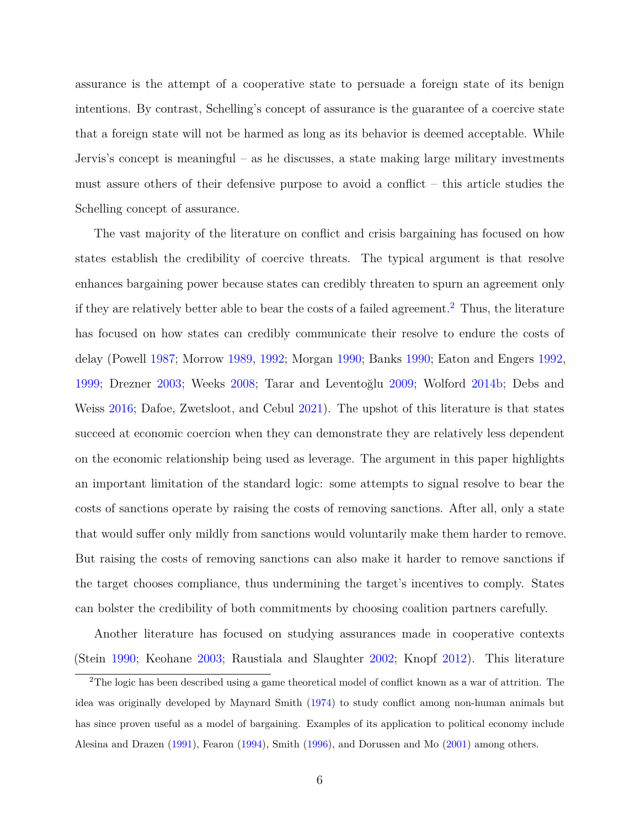assurance is the attempt of a cooperative state to persuade a foreign state of its benign intentions. By contrast, Schelling's concept of assurance is the guarantee of a coercive state that a foreign state will not be harmed as long as its behavior is deemed acceptable. While Jervis's concept is meaningful – as he discusses, a state making large military investments must assure others of their defensive purpose to avoid a conflict – this article studies the Schelling concept of assurance.

The vast majority of the literature on conflict and crisis bargaining has focused on how states establish the credibility of coercive threats. The typical argument is that resolve enhances bargaining power because states can credibly threaten to spurn an agreement only if they are relatively better able to bear the costs of a failed agreement.<sup>[2](#page-5-0)</sup> Thus, the literature has focused on how states can credibly communicate their resolve to endure the costs of delay (Powell [1987](#page-35-2); Morrow [1989,](#page-34-5) [1992](#page-34-6); Morgan [1990;](#page-34-7) Banks [1990;](#page-32-0) Eaton and Engers [1992](#page-33-0), [1999](#page-33-1); Drezner [2003;](#page-33-2) Weeks [2008](#page-36-0); Tarar and Leventoğlu [2009;](#page-36-1) Wolford [2014b](#page-36-2); Debs and Weiss [2016;](#page-32-1) Dafoe, Zwetsloot, and Cebul [2021](#page-32-2)). The upshot of this literature is that states succeed at economic coercion when they can demonstrate they are relatively less dependent on the economic relationship being used as leverage. The argument in this paper highlights an important limitation of the standard logic: some attempts to signal resolve to bear the costs of sanctions operate by raising the costs of removing sanctions. After all, only a state that would suffer only mildly from sanctions would voluntarily make them harder to remove. But raising the costs of removing sanctions can also make it harder to remove sanctions if the target chooses compliance, thus undermining the target's incentives to comply. States can bolster the credibility of both commitments by choosing coalition partners carefully.

Another literature has focused on studying assurances made in cooperative contexts (Stein [1990](#page-35-3); Keohane [2003](#page-34-1); Raustiala and Slaughter [2002](#page-35-4); Knopf [2012\)](#page-34-8). This literature

<span id="page-5-0"></span><sup>2</sup>The logic has been described using a game theoretical model of conflict known as a war of attrition. The idea was originally developed by Maynard Smith [\(1974](#page-34-9)) to study conflict among non-human animals but has since proven useful as a model of bargaining. Examples of its application to political economy include Alesina and Drazen [\(1991](#page-31-0)), Fearon ([1994\)](#page-33-3), Smith ([1996\)](#page-35-5), and Dorussen and Mo [\(2001](#page-33-4)) among others.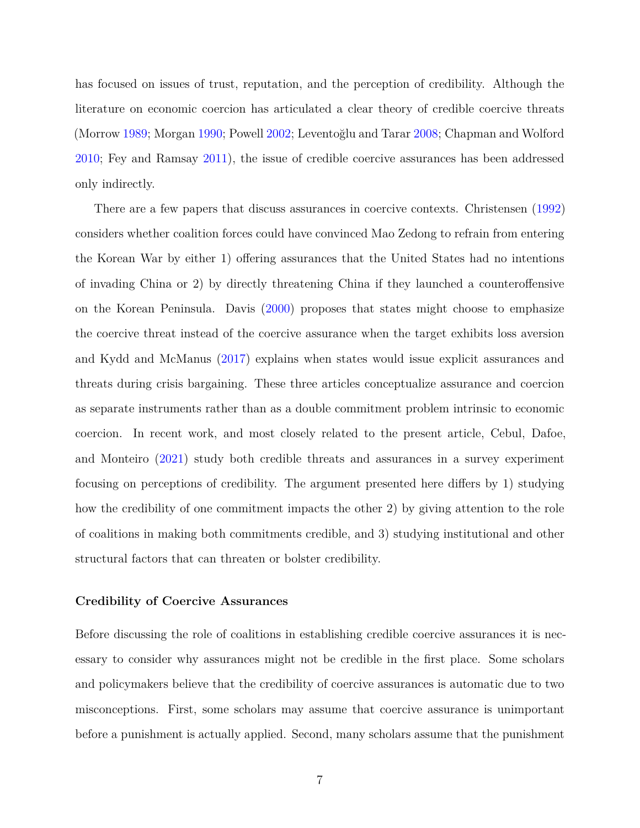has focused on issues of trust, reputation, and the perception of credibility. Although the literature on economic coercion has articulated a clear theory of credible coercive threats (Morrow [1989](#page-34-5); Morgan [1990;](#page-34-7) Powell [2002](#page-35-6); Leventoğlu and Tarar [2008](#page-34-10); Chapman and Wolford [2010](#page-32-3); Fey and Ramsay [2011\)](#page-33-5), the issue of credible coercive assurances has been addressed only indirectly.

There are a few papers that discuss assurances in coercive contexts. Christensen [\(1992\)](#page-32-4) considers whether coalition forces could have convinced Mao Zedong to refrain from entering the Korean War by either 1) offering assurances that the United States had no intentions of invading China or 2) by directly threatening China if they launched a counteroffensive on the Korean Peninsula. Davis [\(2000\)](#page-32-5) proposes that states might choose to emphasize the coercive threat instead of the coercive assurance when the target exhibits loss aversion and Kydd and McManus ([2017](#page-34-11)) explains when states would issue explicit assurances and threats during crisis bargaining. These three articles conceptualize assurance and coercion as separate instruments rather than as a double commitment problem intrinsic to economic coercion. In recent work, and most closely related to the present article, Cebul, Dafoe, and Monteiro [\(2021\)](#page-32-6) study both credible threats and assurances in a survey experiment focusing on perceptions of credibility. The argument presented here differs by 1) studying how the credibility of one commitment impacts the other 2) by giving attention to the role of coalitions in making both commitments credible, and 3) studying institutional and other structural factors that can threaten or bolster credibility.

#### **Credibility of Coercive Assurances**

Before discussing the role of coalitions in establishing credible coercive assurances it is necessary to consider why assurances might not be credible in the first place. Some scholars and policymakers believe that the credibility of coercive assurances is automatic due to two misconceptions. First, some scholars may assume that coercive assurance is unimportant before a punishment is actually applied. Second, many scholars assume that the punishment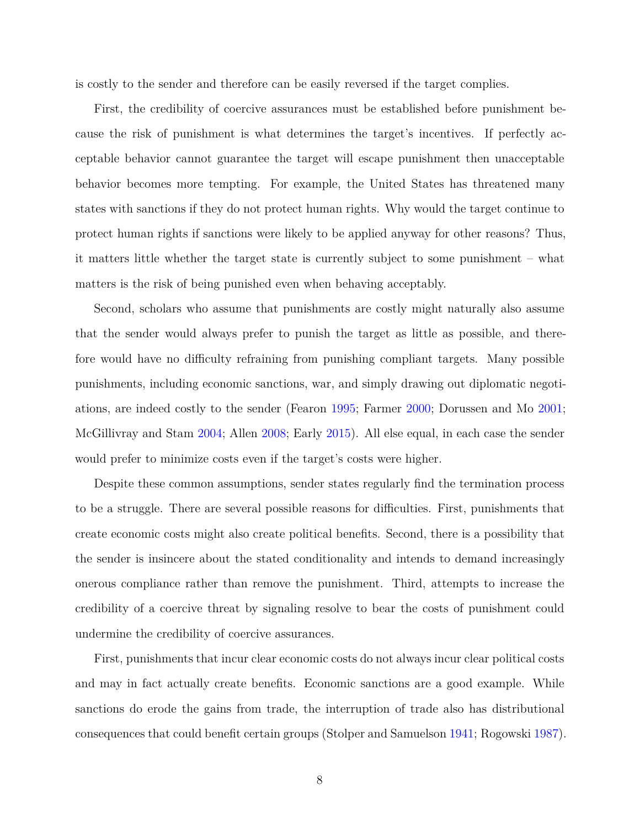is costly to the sender and therefore can be easily reversed if the target complies.

First, the credibility of coercive assurances must be established before punishment because the risk of punishment is what determines the target's incentives. If perfectly acceptable behavior cannot guarantee the target will escape punishment then unacceptable behavior becomes more tempting. For example, the United States has threatened many states with sanctions if they do not protect human rights. Why would the target continue to protect human rights if sanctions were likely to be applied anyway for other reasons? Thus, it matters little whether the target state is currently subject to some punishment – what matters is the risk of being punished even when behaving acceptably.

Second, scholars who assume that punishments are costly might naturally also assume that the sender would always prefer to punish the target as little as possible, and therefore would have no difficulty refraining from punishing compliant targets. Many possible punishments, including economic sanctions, war, and simply drawing out diplomatic negotiations, are indeed costly to the sender (Fearon [1995](#page-33-6); Farmer [2000](#page-33-7); Dorussen and Mo [2001](#page-33-4); McGillivray and Stam [2004;](#page-34-12) Allen [2008;](#page-32-7) Early [2015\)](#page-33-8). All else equal, in each case the sender would prefer to minimize costs even if the target's costs were higher.

Despite these common assumptions, sender states regularly find the termination process to be a struggle. There are several possible reasons for difficulties. First, punishments that create economic costs might also create political benefits. Second, there is a possibility that the sender is insincere about the stated conditionality and intends to demand increasingly onerous compliance rather than remove the punishment. Third, attempts to increase the credibility of a coercive threat by signaling resolve to bear the costs of punishment could undermine the credibility of coercive assurances.

First, punishments that incur clear economic costs do not always incur clear political costs and may in fact actually create benefits. Economic sanctions are a good example. While sanctions do erode the gains from trade, the interruption of trade also has distributional consequences that could benefit certain groups (Stolper and Samuelson [1941;](#page-35-7) Rogowski [1987](#page-35-8)).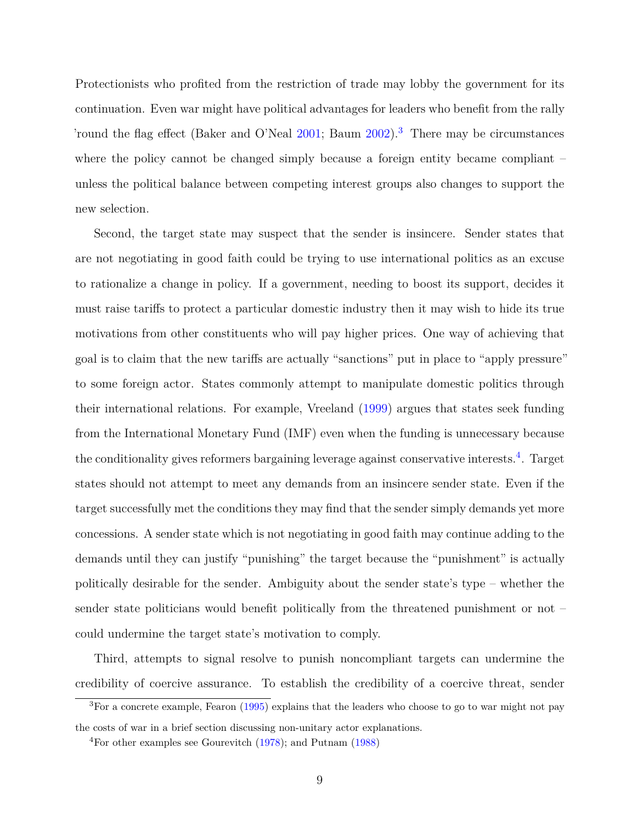Protectionists who profited from the restriction of trade may lobby the government for its continuation. Even war might have political advantages for leaders who benefit from the rally 'round the flag effect (Baker and O'Neal [2001](#page-32-8); Baum [2002](#page-32-9)).[3](#page-8-0) There may be circumstances where the policy cannot be changed simply because a foreign entity became compliant – unless the political balance between competing interest groups also changes to support the new selection.

Second, the target state may suspect that the sender is insincere. Sender states that are not negotiating in good faith could be trying to use international politics as an excuse to rationalize a change in policy. If a government, needing to boost its support, decides it must raise tariffs to protect a particular domestic industry then it may wish to hide its true motivations from other constituents who will pay higher prices. One way of achieving that goal is to claim that the new tariffs are actually "sanctions" put in place to "apply pressure" to some foreign actor. States commonly attempt to manipulate domestic politics through their international relations. For example, Vreeland [\(1999\)](#page-36-3) argues that states seek funding from the International Monetary Fund (IMF) even when the funding is unnecessary because the conditionality gives reformers bargaining leverage against conservative interests.<sup>[4](#page-8-1)</sup>. Target states should not attempt to meet any demands from an insincere sender state. Even if the target successfully met the conditions they may find that the sender simply demands yet more concessions. A sender state which is not negotiating in good faith may continue adding to the demands until they can justify "punishing" the target because the "punishment" is actually politically desirable for the sender. Ambiguity about the sender state's type – whether the sender state politicians would benefit politically from the threatened punishment or not – could undermine the target state's motivation to comply.

Third, attempts to signal resolve to punish noncompliant targets can undermine the credibility of coercive assurance. To establish the credibility of a coercive threat, sender

<span id="page-8-0"></span><sup>3</sup>For a concrete example, Fearon [\(1995](#page-33-6)) explains that the leaders who choose to go to war might not pay the costs of war in a brief section discussing non-unitary actor explanations.

<span id="page-8-1"></span><sup>4</sup>For other examples see Gourevitch [\(1978](#page-33-9)); and Putnam ([1988\)](#page-35-9)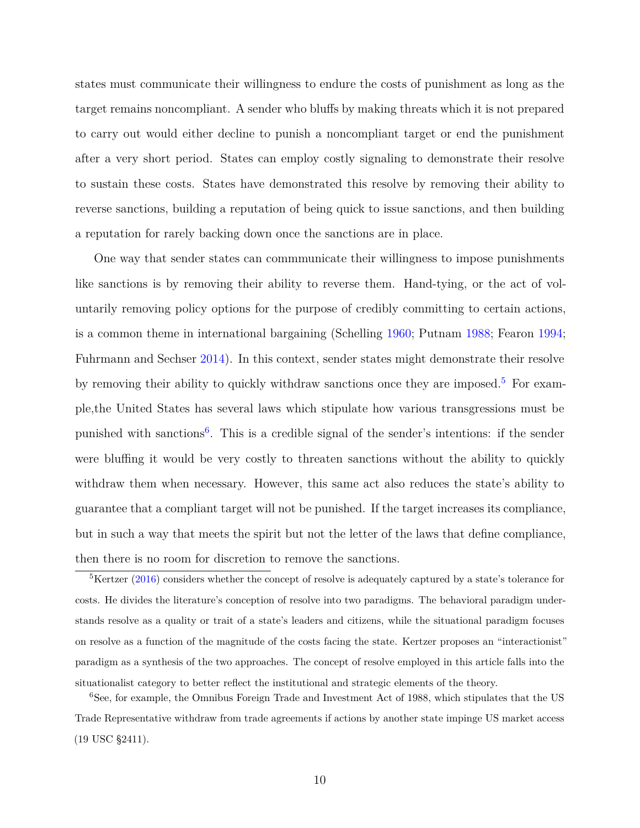states must communicate their willingness to endure the costs of punishment as long as the target remains noncompliant. A sender who bluffs by making threats which it is not prepared to carry out would either decline to punish a noncompliant target or end the punishment after a very short period. States can employ costly signaling to demonstrate their resolve to sustain these costs. States have demonstrated this resolve by removing their ability to reverse sanctions, building a reputation of being quick to issue sanctions, and then building a reputation for rarely backing down once the sanctions are in place.

One way that sender states can commmunicate their willingness to impose punishments like sanctions is by removing their ability to reverse them. Hand-tying, or the act of voluntarily removing policy options for the purpose of credibly committing to certain actions, is a common theme in international bargaining (Schelling [1960;](#page-35-10) Putnam [1988](#page-35-9); Fearon [1994](#page-33-3); Fuhrmann and Sechser [2014](#page-33-10)). In this context, sender states might demonstrate their resolve by removing their ability to quickly withdraw sanctions once they are imposed.<sup>[5](#page-9-0)</sup> For example,the United States has several laws which stipulate how various transgressions must be punished with sanctions<sup>[6](#page-9-1)</sup>. This is a credible signal of the sender's intentions: if the sender were bluffing it would be very costly to threaten sanctions without the ability to quickly withdraw them when necessary. However, this same act also reduces the state's ability to guarantee that a compliant target will not be punished. If the target increases its compliance, but in such a way that meets the spirit but not the letter of the laws that define compliance, then there is no room for discretion to remove the sanctions.

<span id="page-9-0"></span><sup>&</sup>lt;sup>5</sup>Kertzer [\(2016](#page-34-13)) considers whether the concept of resolve is adequately captured by a state's tolerance for costs. He divides the literature's conception of resolve into two paradigms. The behavioral paradigm understands resolve as a quality or trait of a state's leaders and citizens, while the situational paradigm focuses on resolve as a function of the magnitude of the costs facing the state. Kertzer proposes an "interactionist" paradigm as a synthesis of the two approaches. The concept of resolve employed in this article falls into the situationalist category to better reflect the institutional and strategic elements of the theory.

<span id="page-9-1"></span><sup>6</sup>See, for example, the Omnibus Foreign Trade and Investment Act of 1988, which stipulates that the US Trade Representative withdraw from trade agreements if actions by another state impinge US market access (19 USC §2411).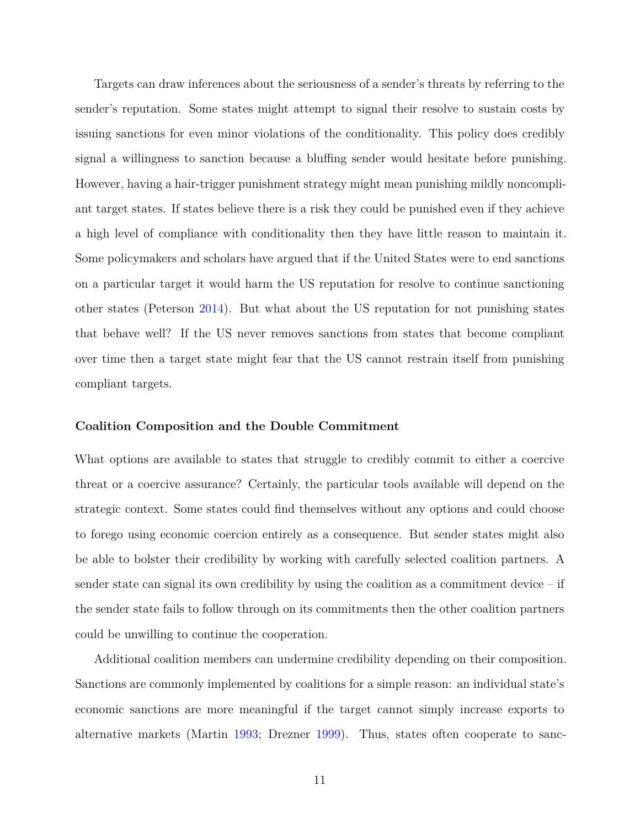Targets can draw inferences about the seriousness of a sender's threats by referring to the sender's reputation. Some states might attempt to signal their resolve to sustain costs by issuing sanctions for even minor violations of the conditionality. This policy does credibly signal a willingness to sanction because a bluffing sender would hesitate before punishing. However, having a hair-trigger punishment strategy might mean punishing mildly noncompliant target states. If states believe there is a risk they could be punished even if they achieve a high level of compliance with conditionality then they have little reason to maintain it. Some policymakers and scholars have argued that if the United States were to end sanctions on a particular target it would harm the US reputation for resolve to continue sanctioning other states (Peterson [2014](#page-35-11)). But what about the US reputation for not punishing states that behave well? If the US never removes sanctions from states that become compliant over time then a target state might fear that the US cannot restrain itself from punishing compliant targets.

#### **Coalition Composition and the Double Commitment**

What options are available to states that struggle to credibly commit to either a coercive threat or a coercive assurance? Certainly, the particular tools available will depend on the strategic context. Some states could find themselves without any options and could choose to forego using economic coercion entirely as a consequence. But sender states might also be able to bolster their credibility by working with carefully selected coalition partners. A sender state can signal its own credibility by using the coalition as a commitment device  $-$  if the sender state fails to follow through on its commitments then the other coalition partners could be unwilling to continue the cooperation.

Additional coalition members can undermine credibility depending on their composition. Sanctions are commonly implemented by coalitions for a simple reason: an individual state's economic sanctions are more meaningful if the target cannot simply increase exports to alternative markets (Martin [1993](#page-34-14); Drezner [1999\)](#page-33-11). Thus, states often cooperate to sanc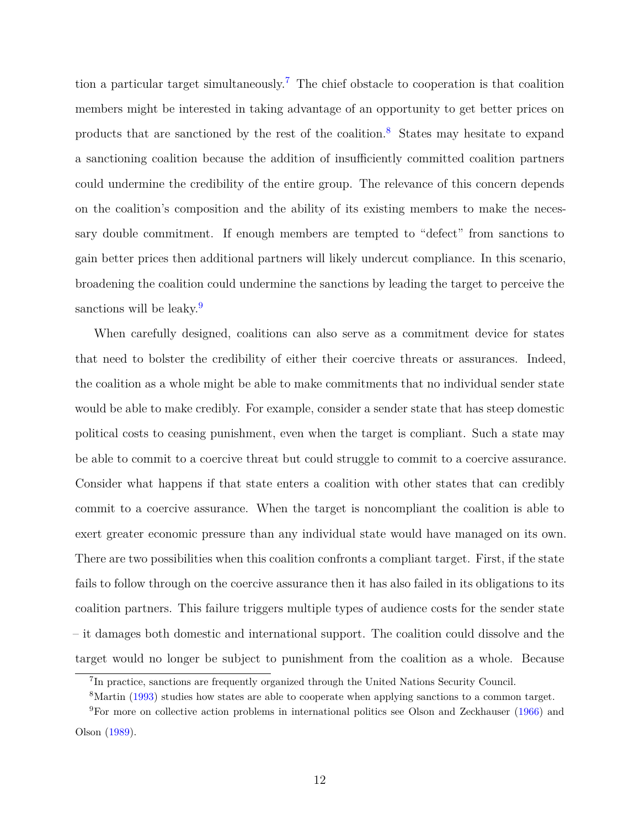tion a particular target simultaneously.[7](#page-11-0) The chief obstacle to cooperation is that coalition members might be interested in taking advantage of an opportunity to get better prices on products that are sanctioned by the rest of the coalition.[8](#page-11-1) States may hesitate to expand a sanctioning coalition because the addition of insufficiently committed coalition partners could undermine the credibility of the entire group. The relevance of this concern depends on the coalition's composition and the ability of its existing members to make the necessary double commitment. If enough members are tempted to "defect" from sanctions to gain better prices then additional partners will likely undercut compliance. In this scenario, broadening the coalition could undermine the sanctions by leading the target to perceive the sanctions will be leaky.<sup>[9](#page-11-2)</sup>

When carefully designed, coalitions can also serve as a commitment device for states that need to bolster the credibility of either their coercive threats or assurances. Indeed, the coalition as a whole might be able to make commitments that no individual sender state would be able to make credibly. For example, consider a sender state that has steep domestic political costs to ceasing punishment, even when the target is compliant. Such a state may be able to commit to a coercive threat but could struggle to commit to a coercive assurance. Consider what happens if that state enters a coalition with other states that can credibly commit to a coercive assurance. When the target is noncompliant the coalition is able to exert greater economic pressure than any individual state would have managed on its own. There are two possibilities when this coalition confronts a compliant target. First, if the state fails to follow through on the coercive assurance then it has also failed in its obligations to its coalition partners. This failure triggers multiple types of audience costs for the sender state – it damages both domestic and international support. The coalition could dissolve and the target would no longer be subject to punishment from the coalition as a whole. Because

<span id="page-11-1"></span><span id="page-11-0"></span><sup>&</sup>lt;sup>7</sup>In practice, sanctions are frequently organized through the United Nations Security Council.

<span id="page-11-2"></span><sup>&</sup>lt;sup>8</sup>Martin [\(1993](#page-34-14)) studies how states are able to cooperate when applying sanctions to a common target.

<sup>9</sup>For more on collective action problems in international politics see Olson and Zeckhauser [\(1966](#page-35-12)) and Olson [\(1989](#page-35-13)).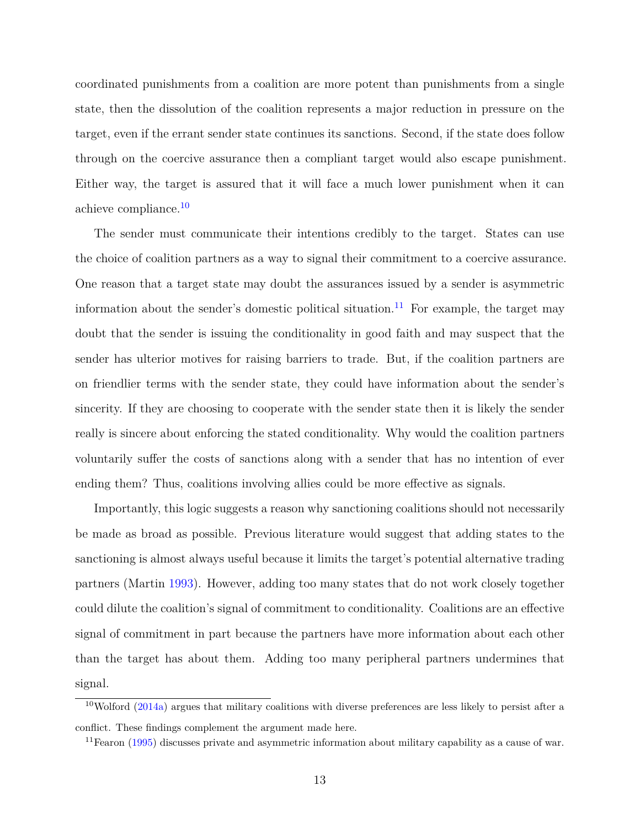coordinated punishments from a coalition are more potent than punishments from a single state, then the dissolution of the coalition represents a major reduction in pressure on the target, even if the errant sender state continues its sanctions. Second, if the state does follow through on the coercive assurance then a compliant target would also escape punishment. Either way, the target is assured that it will face a much lower punishment when it can achieve compliance.[10](#page-12-0)

The sender must communicate their intentions credibly to the target. States can use the choice of coalition partners as a way to signal their commitment to a coercive assurance. One reason that a target state may doubt the assurances issued by a sender is asymmetric information about the sender's domestic political situation.<sup>[11](#page-12-1)</sup> For example, the target may doubt that the sender is issuing the conditionality in good faith and may suspect that the sender has ulterior motives for raising barriers to trade. But, if the coalition partners are on friendlier terms with the sender state, they could have information about the sender's sincerity. If they are choosing to cooperate with the sender state then it is likely the sender really is sincere about enforcing the stated conditionality. Why would the coalition partners voluntarily suffer the costs of sanctions along with a sender that has no intention of ever ending them? Thus, coalitions involving allies could be more effective as signals.

Importantly, this logic suggests a reason why sanctioning coalitions should not necessarily be made as broad as possible. Previous literature would suggest that adding states to the sanctioning is almost always useful because it limits the target's potential alternative trading partners (Martin [1993\)](#page-34-14). However, adding too many states that do not work closely together could dilute the coalition's signal of commitment to conditionality. Coalitions are an effective signal of commitment in part because the partners have more information about each other than the target has about them. Adding too many peripheral partners undermines that signal.

<span id="page-12-0"></span> $10$ Wolford ([2014a\)](#page-36-4) argues that military coalitions with diverse preferences are less likely to persist after a conflict. These findings complement the argument made here.

<span id="page-12-1"></span> $11$ Fearon [\(1995](#page-33-6)) discusses private and asymmetric information about military capability as a cause of war.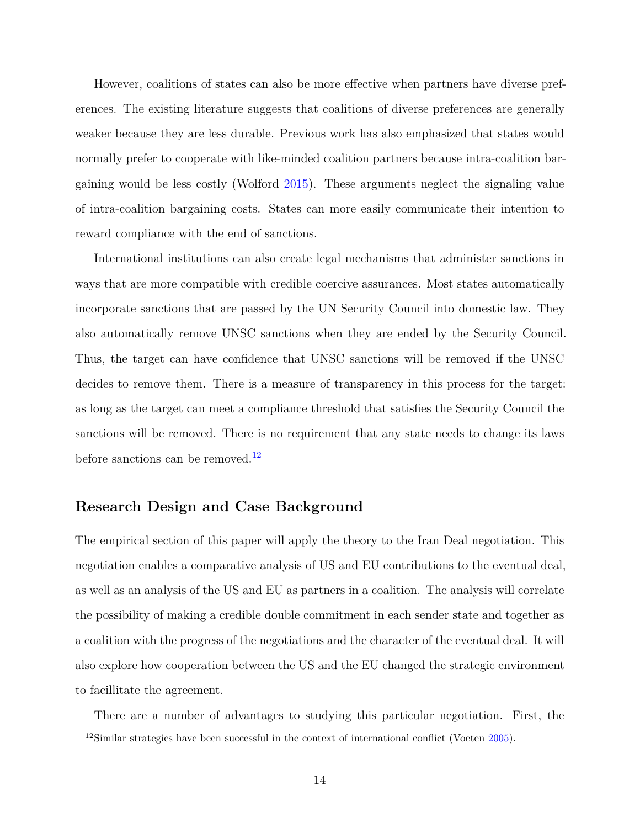However, coalitions of states can also be more effective when partners have diverse preferences. The existing literature suggests that coalitions of diverse preferences are generally weaker because they are less durable. Previous work has also emphasized that states would normally prefer to cooperate with like-minded coalition partners because intra-coalition bargaining would be less costly (Wolford [2015](#page-36-5)). These arguments neglect the signaling value of intra-coalition bargaining costs. States can more easily communicate their intention to reward compliance with the end of sanctions.

International institutions can also create legal mechanisms that administer sanctions in ways that are more compatible with credible coercive assurances. Most states automatically incorporate sanctions that are passed by the UN Security Council into domestic law. They also automatically remove UNSC sanctions when they are ended by the Security Council. Thus, the target can have confidence that UNSC sanctions will be removed if the UNSC decides to remove them. There is a measure of transparency in this process for the target: as long as the target can meet a compliance threshold that satisfies the Security Council the sanctions will be removed. There is no requirement that any state needs to change its laws before sanctions can be removed.<sup>[12](#page-13-0)</sup>

# **Research Design and Case Background**

The empirical section of this paper will apply the theory to the Iran Deal negotiation. This negotiation enables a comparative analysis of US and EU contributions to the eventual deal, as well as an analysis of the US and EU as partners in a coalition. The analysis will correlate the possibility of making a credible double commitment in each sender state and together as a coalition with the progress of the negotiations and the character of the eventual deal. It will also explore how cooperation between the US and the EU changed the strategic environment to facillitate the agreement.

<span id="page-13-0"></span>There are a number of advantages to studying this particular negotiation. First, the

<sup>&</sup>lt;sup>12</sup>Similar strategies have been successful in the context of international conflict (Voeten [2005](#page-36-6)).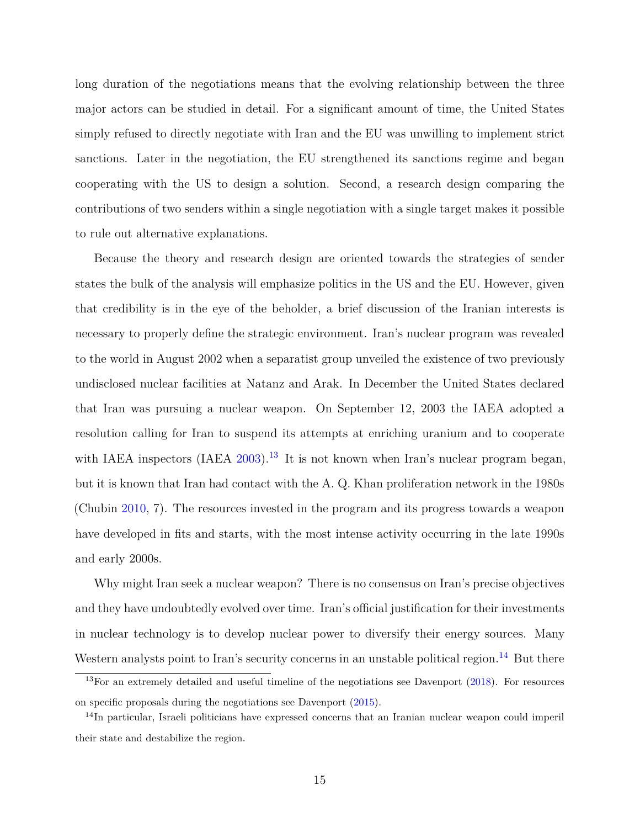long duration of the negotiations means that the evolving relationship between the three major actors can be studied in detail. For a significant amount of time, the United States simply refused to directly negotiate with Iran and the EU was unwilling to implement strict sanctions. Later in the negotiation, the EU strengthened its sanctions regime and began cooperating with the US to design a solution. Second, a research design comparing the contributions of two senders within a single negotiation with a single target makes it possible to rule out alternative explanations.

Because the theory and research design are oriented towards the strategies of sender states the bulk of the analysis will emphasize politics in the US and the EU. However, given that credibility is in the eye of the beholder, a brief discussion of the Iranian interests is necessary to properly define the strategic environment. Iran's nuclear program was revealed to the world in August 2002 when a separatist group unveiled the existence of two previously undisclosed nuclear facilities at Natanz and Arak. In December the United States declared that Iran was pursuing a nuclear weapon. On September 12, 2003 the IAEA adopted a resolution calling for Iran to suspend its attempts at enriching uranium and to cooperate with IAEA inspectors (IAEA  $2003$ ).<sup>[13](#page-14-0)</sup> It is not known when Iran's nuclear program began, but it is known that Iran had contact with the A. Q. Khan proliferation network in the 1980s (Chubin [2010,](#page-32-10) 7). The resources invested in the program and its progress towards a weapon have developed in fits and starts, with the most intense activity occurring in the late 1990s and early 2000s.

Why might Iran seek a nuclear weapon? There is no consensus on Iran's precise objectives and they have undoubtedly evolved over time. Iran's official justification for their investments in nuclear technology is to develop nuclear power to diversify their energy sources. Many Western analysts point to Iran's security concerns in an unstable political region.<sup>[14](#page-14-1)</sup> But there

<span id="page-14-0"></span> $13$ For an extremely detailed and useful timeline of the negotiations see Davenport  $(2018)$  $(2018)$ . For resources on specific proposals during the negotiations see Davenport [\(2015](#page-32-12)).

<span id="page-14-1"></span><sup>&</sup>lt;sup>14</sup>In particular, Israeli politicians have expressed concerns that an Iranian nuclear weapon could imperil their state and destabilize the region.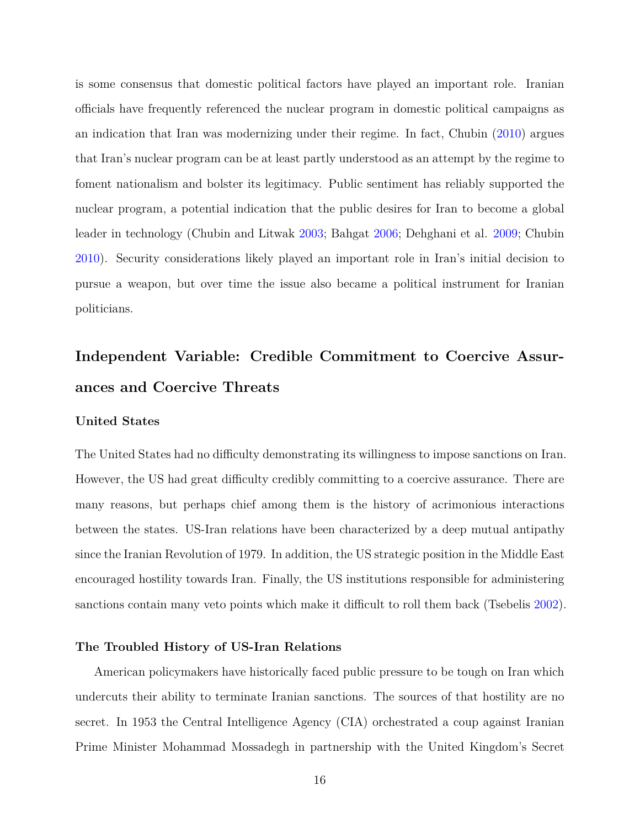is some consensus that domestic political factors have played an important role. Iranian officials have frequently referenced the nuclear program in domestic political campaigns as an indication that Iran was modernizing under their regime. In fact, Chubin [\(2010\)](#page-32-10) argues that Iran's nuclear program can be at least partly understood as an attempt by the regime to foment nationalism and bolster its legitimacy. Public sentiment has reliably supported the nuclear program, a potential indication that the public desires for Iran to become a global leader in technology (Chubin and Litwak [2003;](#page-32-13) Bahgat [2006](#page-32-14); Dehghani et al. [2009](#page-33-12); Chubin [2010](#page-32-10)). Security considerations likely played an important role in Iran's initial decision to pursue a weapon, but over time the issue also became a political instrument for Iranian politicians.

# **Independent Variable: Credible Commitment to Coercive Assurances and Coercive Threats**

#### **United States**

The United States had no difficulty demonstrating its willingness to impose sanctions on Iran. However, the US had great difficulty credibly committing to a coercive assurance. There are many reasons, but perhaps chief among them is the history of acrimonious interactions between the states. US-Iran relations have been characterized by a deep mutual antipathy since the Iranian Revolution of 1979. In addition, the US strategic position in the Middle East encouraged hostility towards Iran. Finally, the US institutions responsible for administering sanctions contain many veto points which make it difficult to roll them back (Tsebelis [2002](#page-36-7)).

#### **The Troubled History of US-Iran Relations**

American policymakers have historically faced public pressure to be tough on Iran which undercuts their ability to terminate Iranian sanctions. The sources of that hostility are no secret. In 1953 the Central Intelligence Agency (CIA) orchestrated a coup against Iranian Prime Minister Mohammad Mossadegh in partnership with the United Kingdom's Secret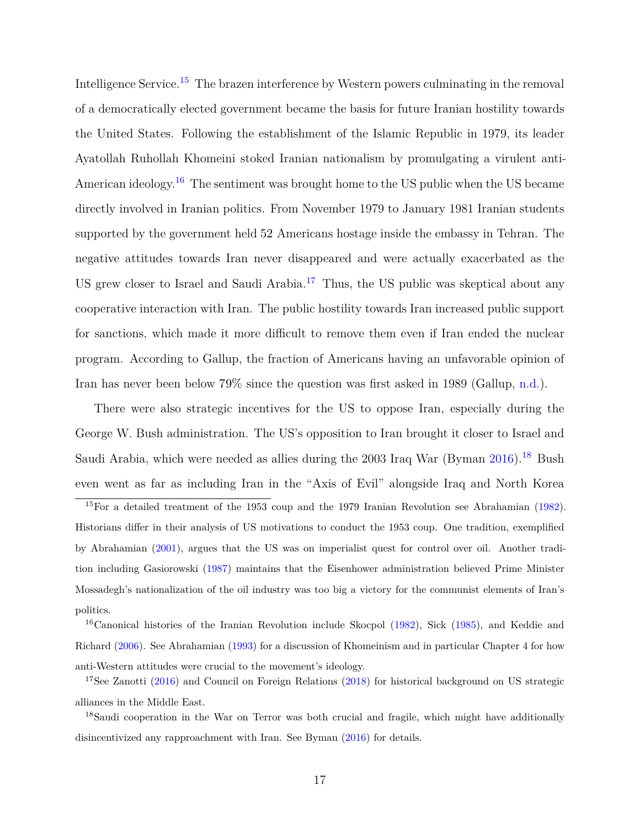Intelligence Service.<sup>[15](#page-16-0)</sup> The brazen interference by Western powers culminating in the removal of a democratically elected government became the basis for future Iranian hostility towards the United States. Following the establishment of the Islamic Republic in 1979, its leader Ayatollah Ruhollah Khomeini stoked Iranian nationalism by promulgating a virulent anti-American ideology.<sup>[16](#page-16-1)</sup> The sentiment was brought home to the US public when the US became directly involved in Iranian politics. From November 1979 to January 1981 Iranian students supported by the government held 52 Americans hostage inside the embassy in Tehran. The negative attitudes towards Iran never disappeared and were actually exacerbated as the US grew closer to Israel and Saudi Arabia.<sup>[17](#page-16-2)</sup> Thus, the US public was skeptical about any cooperative interaction with Iran. The public hostility towards Iran increased public support for sanctions, which made it more difficult to remove them even if Iran ended the nuclear program. According to Gallup, the fraction of Americans having an unfavorable opinion of Iran has never been below 79% since the question was first asked in 1989 (Gallup, [n.d.\)](#page-33-13).

There were also strategic incentives for the US to oppose Iran, especially during the George W. Bush administration. The US's opposition to Iran brought it closer to Israel and Saudi Arabia, which were needed as allies during the 2003 Iraq War (Byman  $2016$ ).<sup>[18](#page-16-3)</sup> Bush even went as far as including Iran in the "Axis of Evil" alongside Iraq and North Korea

<span id="page-16-0"></span><sup>&</sup>lt;sup>15</sup>For a detailed treatment of the 1953 coup and the 1979 Iranian Revolution see Abrahamian [\(1982](#page-31-1)). Historians differ in their analysis of US motivations to conduct the 1953 coup. One tradition, exemplified by Abrahamian [\(2001\)](#page-31-2), argues that the US was on imperialist quest for control over oil. Another tradition including Gasiorowski ([1987\)](#page-33-14) maintains that the Eisenhower administration believed Prime Minister Mossadegh's nationalization of the oil industry was too big a victory for the communist elements of Iran's politics.

<span id="page-16-1"></span><sup>&</sup>lt;sup>16</sup>Canonical histories of the Iranian Revolution include Skocpol [\(1982](#page-35-14)), Sick ([1985\)](#page-35-15), and Keddie and Richard [\(2006\)](#page-34-16). See Abrahamian ([1993\)](#page-31-3) for a discussion of Khomeinism and in particular Chapter 4 for how anti-Western attitudes were crucial to the movement's ideology.

<span id="page-16-2"></span><sup>&</sup>lt;sup>17</sup>See Zanotti ([2016\)](#page-36-8) and Council on Foreign Relations ([2018\)](#page-32-16) for historical background on US strategic alliances in the Middle East.

<span id="page-16-3"></span><sup>&</sup>lt;sup>18</sup>Saudi cooperation in the War on Terror was both crucial and fragile, which might have additionally disincentivized any rapproachment with Iran. See Byman [\(2016](#page-32-15)) for details.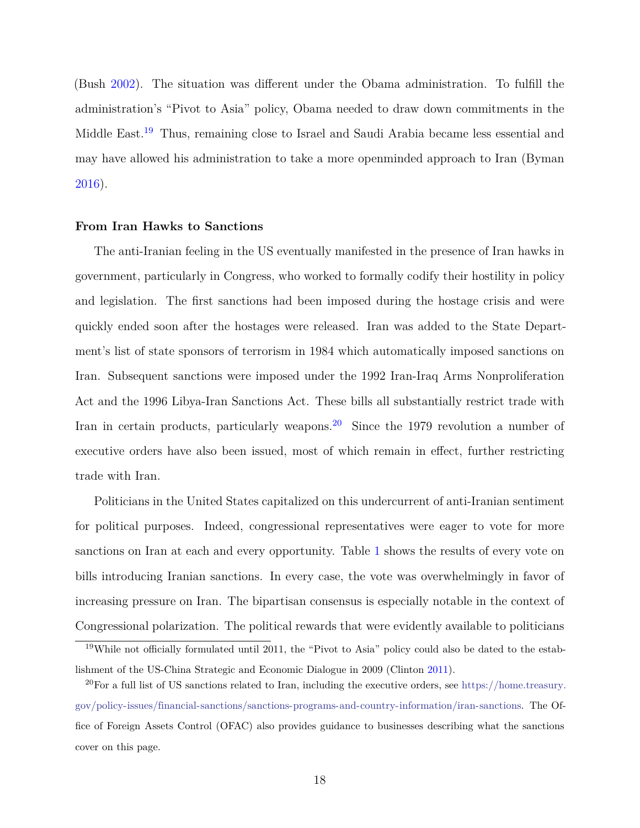(Bush [2002](#page-32-17)). The situation was different under the Obama administration. To fulfill the administration's "Pivot to Asia" policy, Obama needed to draw down commitments in the Middle East.[19](#page-17-0) Thus, remaining close to Israel and Saudi Arabia became less essential and may have allowed his administration to take a more openminded approach to Iran (Byman [2016](#page-32-15)).

#### **From Iran Hawks to Sanctions**

The anti-Iranian feeling in the US eventually manifested in the presence of Iran hawks in government, particularly in Congress, who worked to formally codify their hostility in policy and legislation. The first sanctions had been imposed during the hostage crisis and were quickly ended soon after the hostages were released. Iran was added to the State Department's list of state sponsors of terrorism in 1984 which automatically imposed sanctions on Iran. Subsequent sanctions were imposed under the 1992 Iran-Iraq Arms Nonproliferation Act and the 1996 Libya-Iran Sanctions Act. These bills all substantially restrict trade with Iran in certain products, particularly weapons.<sup>[20](#page-17-1)</sup> Since the 1979 revolution a number of executive orders have also been issued, most of which remain in effect, further restricting trade with Iran.

Politicians in the United States capitalized on this undercurrent of anti-Iranian sentiment for political purposes. Indeed, congressional representatives were eager to vote for more sanctions on Iran at each and every opportunity. Table [1](#page-18-0) shows the results of every vote on bills introducing Iranian sanctions. In every case, the vote was overwhelmingly in favor of increasing pressure on Iran. The bipartisan consensus is especially notable in the context of Congressional polarization. The political rewards that were evidently available to politicians

<span id="page-17-0"></span><sup>19</sup>While not officially formulated until 2011, the "Pivot to Asia" policy could also be dated to the establishment of the US-China Strategic and Economic Dialogue in 2009 (Clinton [2011](#page-32-18)).

<span id="page-17-1"></span> $^{20}$ For a full list of US sanctions related to Iran, including the executive orders, see [https://home.treasury.](https://home.treasury.gov/policy-issues/financial-sanctions/sanctions-programs-and-country-information/iran-sanctions) [gov/policy-issues/financial-sanctions/sanctions-programs-and-country-information/iran-sanctions.](https://home.treasury.gov/policy-issues/financial-sanctions/sanctions-programs-and-country-information/iran-sanctions) The Office of Foreign Assets Control (OFAC) also provides guidance to businesses describing what the sanctions cover on this page.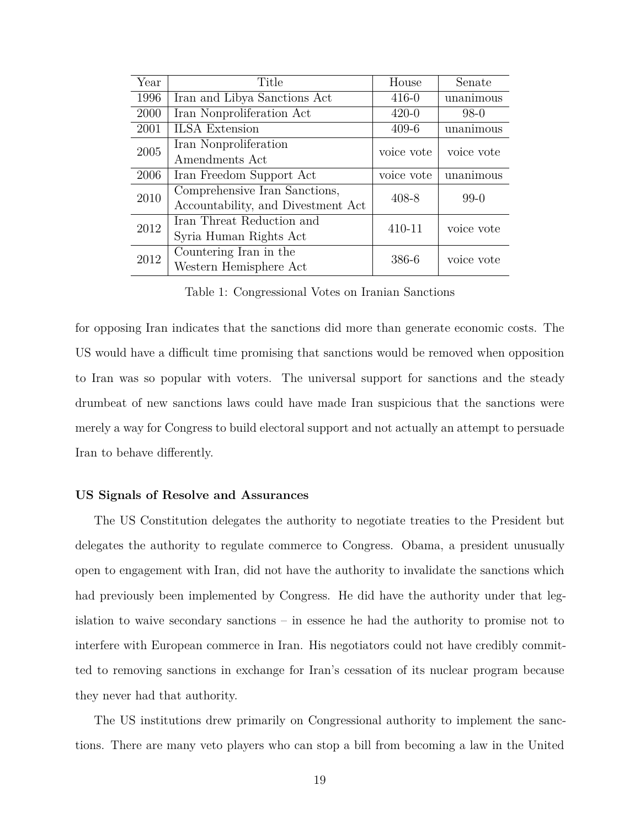| Year | Title                              | House      | Senate     |
|------|------------------------------------|------------|------------|
| 1996 | Iran and Libya Sanctions Act       | $416 - 0$  | unanimous  |
| 2000 | Iran Nonproliferation Act          | $420 - 0$  | $98-0$     |
| 2001 | <b>ILSA</b> Extension              | $409-6$    | unanimous  |
| 2005 | Iran Nonproliferation              | voice vote | voice vote |
|      | Amendments Act                     |            |            |
| 2006 | Iran Freedom Support Act           | voice vote | unanimous  |
| 2010 | Comprehensive Iran Sanctions,      | 408-8      | $99-0$     |
|      | Accountability, and Divestment Act |            |            |
| 2012 | Iran Threat Reduction and          | 410-11     | voice vote |
|      | Syria Human Rights Act             |            |            |
| 2012 | Countering Iran in the             | 386-6      | voice vote |
|      | Western Hemisphere Act             |            |            |

<span id="page-18-0"></span>Table 1: Congressional Votes on Iranian Sanctions

for opposing Iran indicates that the sanctions did more than generate economic costs. The US would have a difficult time promising that sanctions would be removed when opposition to Iran was so popular with voters. The universal support for sanctions and the steady drumbeat of new sanctions laws could have made Iran suspicious that the sanctions were merely a way for Congress to build electoral support and not actually an attempt to persuade Iran to behave differently.

#### **US Signals of Resolve and Assurances**

The US Constitution delegates the authority to negotiate treaties to the President but delegates the authority to regulate commerce to Congress. Obama, a president unusually open to engagement with Iran, did not have the authority to invalidate the sanctions which had previously been implemented by Congress. He did have the authority under that legislation to waive secondary sanctions – in essence he had the authority to promise not to interfere with European commerce in Iran. His negotiators could not have credibly committed to removing sanctions in exchange for Iran's cessation of its nuclear program because they never had that authority.

The US institutions drew primarily on Congressional authority to implement the sanctions. There are many veto players who can stop a bill from becoming a law in the United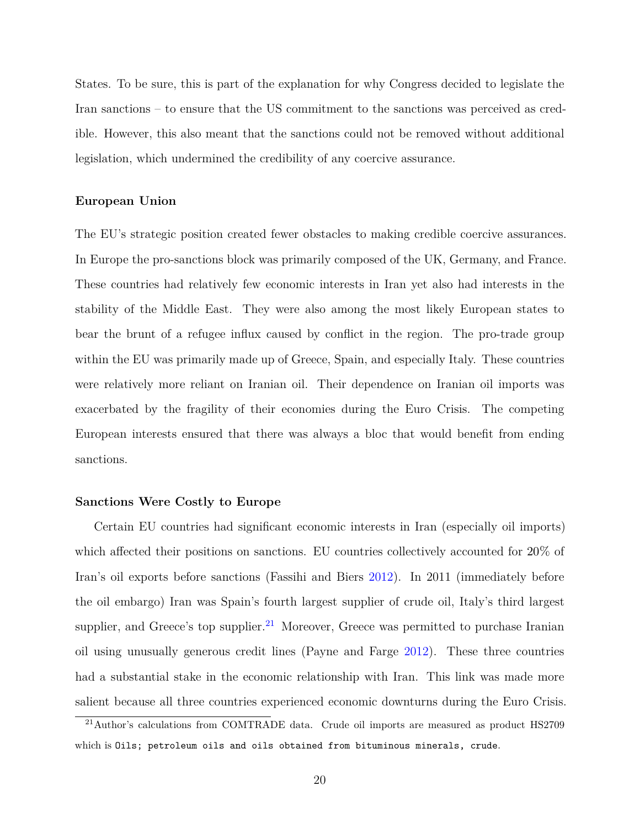States. To be sure, this is part of the explanation for why Congress decided to legislate the Iran sanctions – to ensure that the US commitment to the sanctions was perceived as credible. However, this also meant that the sanctions could not be removed without additional legislation, which undermined the credibility of any coercive assurance.

#### **European Union**

The EU's strategic position created fewer obstacles to making credible coercive assurances. In Europe the pro-sanctions block was primarily composed of the UK, Germany, and France. These countries had relatively few economic interests in Iran yet also had interests in the stability of the Middle East. They were also among the most likely European states to bear the brunt of a refugee influx caused by conflict in the region. The pro-trade group within the EU was primarily made up of Greece, Spain, and especially Italy. These countries were relatively more reliant on Iranian oil. Their dependence on Iranian oil imports was exacerbated by the fragility of their economies during the Euro Crisis. The competing European interests ensured that there was always a bloc that would benefit from ending sanctions.

#### **Sanctions Were Costly to Europe**

Certain EU countries had significant economic interests in Iran (especially oil imports) which affected their positions on sanctions. EU countries collectively accounted for 20% of Iran's oil exports before sanctions (Fassihi and Biers [2012](#page-33-15)). In 2011 (immediately before the oil embargo) Iran was Spain's fourth largest supplier of crude oil, Italy's third largest supplier, and Greece's top supplier. $^{21}$  $^{21}$  $^{21}$  Moreover, Greece was permitted to purchase Iranian oil using unusually generous credit lines (Payne and Farge [2012](#page-35-16)). These three countries had a substantial stake in the economic relationship with Iran. This link was made more salient because all three countries experienced economic downturns during the Euro Crisis.

<span id="page-19-0"></span><sup>&</sup>lt;sup>21</sup>Author's calculations from COMTRADE data. Crude oil imports are measured as product HS2709 which is Oils; petroleum oils and oils obtained from bituminous minerals, crude.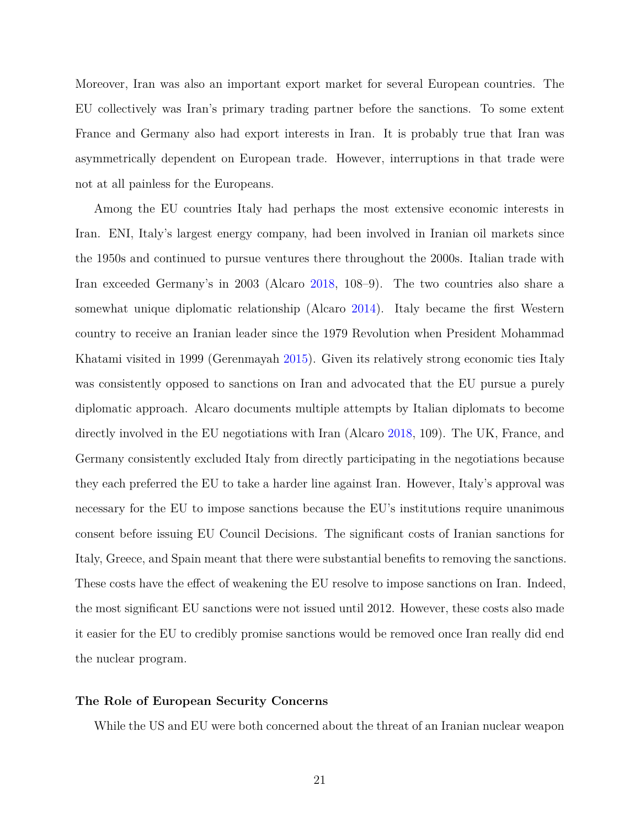Moreover, Iran was also an important export market for several European countries. The EU collectively was Iran's primary trading partner before the sanctions. To some extent France and Germany also had export interests in Iran. It is probably true that Iran was asymmetrically dependent on European trade. However, interruptions in that trade were not at all painless for the Europeans.

Among the EU countries Italy had perhaps the most extensive economic interests in Iran. ENI, Italy's largest energy company, had been involved in Iranian oil markets since the 1950s and continued to pursue ventures there throughout the 2000s. Italian trade with Iran exceeded Germany's in 2003 (Alcaro [2018](#page-31-4), 108–9). The two countries also share a somewhat unique diplomatic relationship (Alcaro [2014\)](#page-31-5). Italy became the first Western country to receive an Iranian leader since the 1979 Revolution when President Mohammad Khatami visited in 1999 (Gerenmayah [2015\)](#page-33-16). Given its relatively strong economic ties Italy was consistently opposed to sanctions on Iran and advocated that the EU pursue a purely diplomatic approach. Alcaro documents multiple attempts by Italian diplomats to become directly involved in the EU negotiations with Iran (Alcaro [2018,](#page-31-4) 109). The UK, France, and Germany consistently excluded Italy from directly participating in the negotiations because they each preferred the EU to take a harder line against Iran. However, Italy's approval was necessary for the EU to impose sanctions because the EU's institutions require unanimous consent before issuing EU Council Decisions. The significant costs of Iranian sanctions for Italy, Greece, and Spain meant that there were substantial benefits to removing the sanctions. These costs have the effect of weakening the EU resolve to impose sanctions on Iran. Indeed, the most significant EU sanctions were not issued until 2012. However, these costs also made it easier for the EU to credibly promise sanctions would be removed once Iran really did end the nuclear program.

#### **The Role of European Security Concerns**

While the US and EU were both concerned about the threat of an Iranian nuclear weapon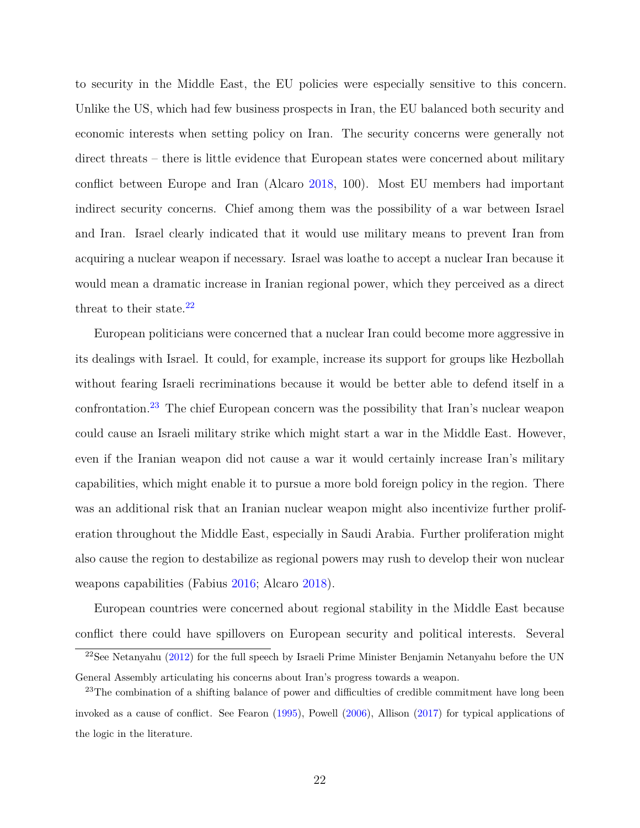to security in the Middle East, the EU policies were especially sensitive to this concern. Unlike the US, which had few business prospects in Iran, the EU balanced both security and economic interests when setting policy on Iran. The security concerns were generally not direct threats – there is little evidence that European states were concerned about military conflict between Europe and Iran (Alcaro [2018](#page-31-4), 100). Most EU members had important indirect security concerns. Chief among them was the possibility of a war between Israel and Iran. Israel clearly indicated that it would use military means to prevent Iran from acquiring a nuclear weapon if necessary. Israel was loathe to accept a nuclear Iran because it would mean a dramatic increase in Iranian regional power, which they perceived as a direct threat to their state. $22$ 

European politicians were concerned that a nuclear Iran could become more aggressive in its dealings with Israel. It could, for example, increase its support for groups like Hezbollah without fearing Israeli recriminations because it would be better able to defend itself in a confrontation.[23](#page-21-1) The chief European concern was the possibility that Iran's nuclear weapon could cause an Israeli military strike which might start a war in the Middle East. However, even if the Iranian weapon did not cause a war it would certainly increase Iran's military capabilities, which might enable it to pursue a more bold foreign policy in the region. There was an additional risk that an Iranian nuclear weapon might also incentivize further proliferation throughout the Middle East, especially in Saudi Arabia. Further proliferation might also cause the region to destabilize as regional powers may rush to develop their won nuclear weapons capabilities (Fabius [2016;](#page-33-17) Alcaro [2018\)](#page-31-4).

European countries were concerned about regional stability in the Middle East because conflict there could have spillovers on European security and political interests. Several

<span id="page-21-0"></span> $22$ See Netanyahu ([2012\)](#page-35-17) for the full speech by Israeli Prime Minister Benjamin Netanyahu before the UN General Assembly articulating his concerns about Iran's progress towards a weapon.

<span id="page-21-1"></span><sup>&</sup>lt;sup>23</sup>The combination of a shifting balance of power and difficulties of credible commitment have long been invoked as a cause of conflict. See Fearon ([1995\)](#page-33-6), Powell [\(2006](#page-35-18)), Allison ([2017](#page-32-19)) for typical applications of the logic in the literature.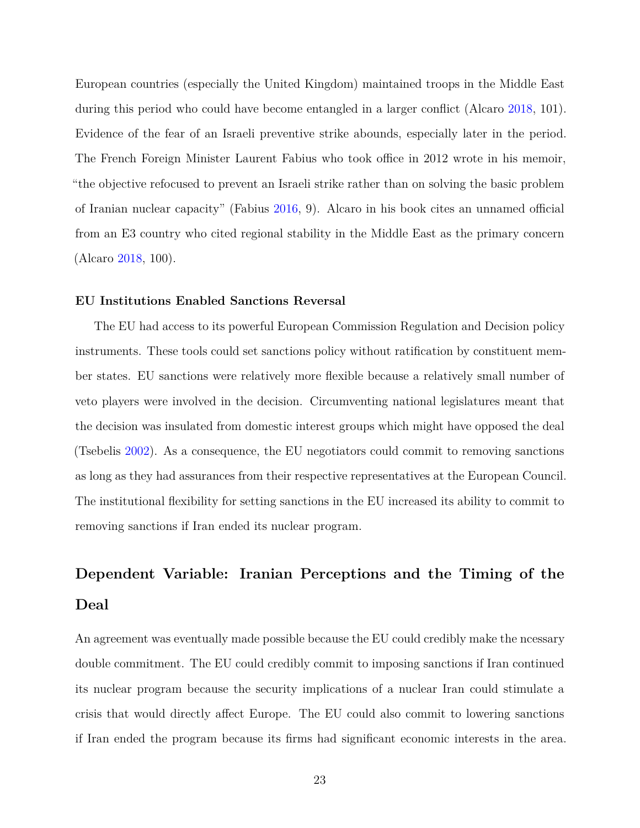European countries (especially the United Kingdom) maintained troops in the Middle East during this period who could have become entangled in a larger conflict (Alcaro [2018,](#page-31-4) 101). Evidence of the fear of an Israeli preventive strike abounds, especially later in the period. The French Foreign Minister Laurent Fabius who took office in 2012 wrote in his memoir, "the objective refocused to prevent an Israeli strike rather than on solving the basic problem of Iranian nuclear capacity" (Fabius [2016](#page-33-17), 9). Alcaro in his book cites an unnamed official from an E3 country who cited regional stability in the Middle East as the primary concern (Alcaro [2018](#page-31-4), 100).

#### **EU Institutions Enabled Sanctions Reversal**

The EU had access to its powerful European Commission Regulation and Decision policy instruments. These tools could set sanctions policy without ratification by constituent member states. EU sanctions were relatively more flexible because a relatively small number of veto players were involved in the decision. Circumventing national legislatures meant that the decision was insulated from domestic interest groups which might have opposed the deal (Tsebelis [2002](#page-36-7)). As a consequence, the EU negotiators could commit to removing sanctions as long as they had assurances from their respective representatives at the European Council. The institutional flexibility for setting sanctions in the EU increased its ability to commit to removing sanctions if Iran ended its nuclear program.

# **Dependent Variable: Iranian Perceptions and the Timing of the Deal**

An agreement was eventually made possible because the EU could credibly make the ncessary double commitment. The EU could credibly commit to imposing sanctions if Iran continued its nuclear program because the security implications of a nuclear Iran could stimulate a crisis that would directly affect Europe. The EU could also commit to lowering sanctions if Iran ended the program because its firms had significant economic interests in the area.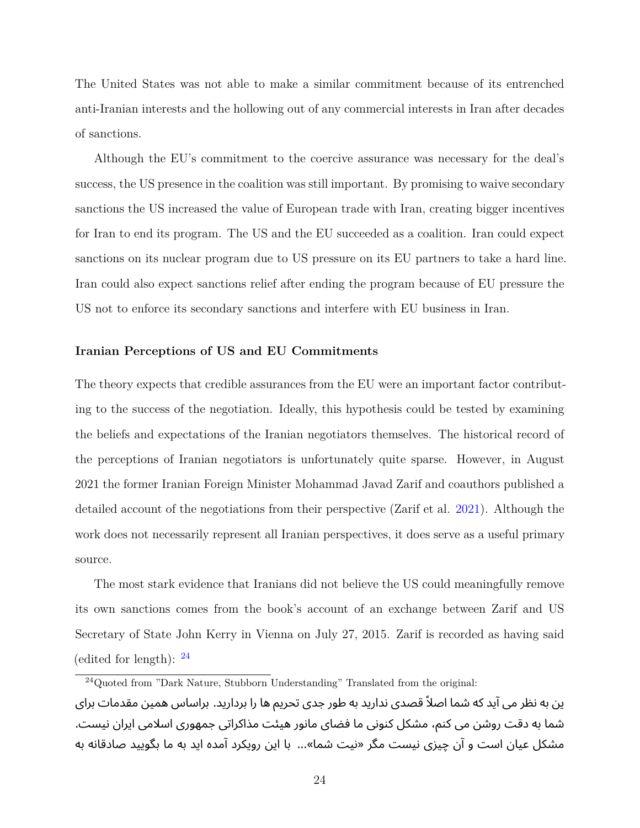The United States was not able to make a similar commitment because of its entrenched anti-Iranian interests and the hollowing out of any commercial interests in Iran after decades of sanctions.

Although the EU's commitment to the coercive assurance was necessary for the deal's success, the US presence in the coalition was still important. By promising to waive secondary sanctions the US increased the value of European trade with Iran, creating bigger incentives for Iran to end its program. The US and the EU succeeded as a coalition. Iran could expect sanctions on its nuclear program due to US pressure on its EU partners to take a hard line. Iran could also expect sanctions relief after ending the program because of EU pressure the US not to enforce its secondary sanctions and interfere with EU business in Iran.

#### **Iranian Perceptions of US and EU Commitments**

The theory expects that credible assurances from the EU were an important factor contributing to the success of the negotiation. Ideally, this hypothesis could be tested by examining the beliefs and expectations of the Iranian negotiators themselves. The historical record of the perceptions of Iranian negotiators is unfortunately quite sparse. However, in August 2021 the former Iranian Foreign Minister Mohammad Javad Zarif and coauthors published a detailed account of the negotiations from their perspective (Zarif et al. [2021](#page-36-9)). Although the work does not necessarily represent all Iranian perspectives, it does serve as a useful primary source.

The most stark evidence that Iranians did not believe the US could meaningfully remove its own sanctions comes from the book's account of an exchange between Zarif and US Secretary of State John Kerry in Vienna on July 27, 2015. Zarif is recorded as having said (edited for length):  $^{24}$  $^{24}$  $^{24}$ 

<span id="page-23-0"></span><sup>&</sup>lt;sup>24</sup>Quoted from "Dark Nature, Stubborn Understanding" Translated from the original: ین به نظر می آید که شما اصلاً قصدی ندارید به طور جدی تحریم ها را بردارید. براساس همین مقدمات برای شما به دقت روشن می کنم، مشکل کنونی ما فضای مانور هیئت مذاکراتی جمهوری اسلامی ایران نیست. مشکل عیان است و آن چیزی نیست مگر «نیت شما»... با این رویکرد آمده اید به ما بگویید صادقانه به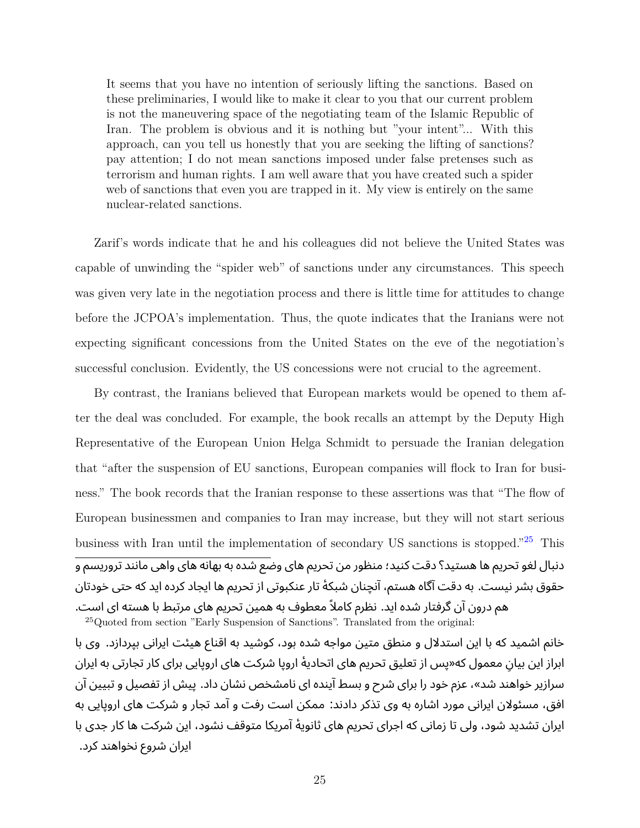It seems that you have no intention of seriously lifting the sanctions. Based on these preliminaries, I would like to make it clear to you that our current problem is not the maneuvering space of the negotiating team of the Islamic Republic of Iran. The problem is obvious and it is nothing but "your intent"... With this approach, can you tell us honestly that you are seeking the lifting of sanctions? pay attention; I do not mean sanctions imposed under false pretenses such as terrorism and human rights. I am well aware that you have created such a spider web of sanctions that even you are trapped in it. My view is entirely on the same nuclear-related sanctions.

Zarif's words indicate that he and his colleagues did not believe the United States was capable of unwinding the "spider web" of sanctions under any circumstances. This speech was given very late in the negotiation process and there is little time for attitudes to change before the JCPOA's implementation. Thus, the quote indicates that the Iranians were not expecting significant concessions from the United States on the eve of the negotiation's successful conclusion. Evidently, the US concessions were not crucial to the agreement.

By contrast, the Iranians believed that European markets would be opened to them after the deal was concluded. For example, the book recalls an attempt by the Deputy High Representative of the European Union Helga Schmidt to persuade the Iranian delegation that "after the suspension of EU sanctions, European companies will flock to Iran for business." The book records that the Iranian response to these assertions was that "The flow of European businessmen and companies to Iran may increase, but they will not start serious business with Iran until the implementation of secondary US sanctions is stopped."[25](#page-24-0) This دنبال لغو تحریم ها هستید؟ دقت کنید؛ منظور من تحریم های وضع شده به بهانه های واهی مانند تروریسم و حقوق بشر نیست. به دقت آگاه هستم، آنچنان شبکۀ تار عنکبوتی از تحریم ها ایجاد کرده اید که حتی خودتان هم درون آن گرفتار شده اید. نظرم کاملاً معطوف به همین تحریم های مرتبط با هسته ای است. <sup>25</sup>Quoted from section "Early Suspension of Sanctions". Translated from the original:

<span id="page-24-0"></span>خانم اشمید که با این استدلال و منطق متین مواجه شده بود، کوشید به اقناع هیئت ایرانی بپردازد. وی با ابراز این بیان معمول که«پس از تعلیق تحریم های اتحادیۀ اروپا شرکت های اروپایی برای کار تجارتی به ایران ِ سرازیر خواهند شد»، عزم خود را برای شرح و بسط آینده ای نامشخص نشان داد. پیش از تفصیل و تبیین آن افق، مسئولان ایرانی مورد اشاره به وی تذکر دادند: ممکن است رفت و آمد تجار و شرکت های اروپایی به ایران تشدید شود، ولی تا زمانی که اجرای تحریم های ثانویۀ آمریکا متوقف نشود، این شرکت ها کار جدی با ایران شروع نخواهند کرد.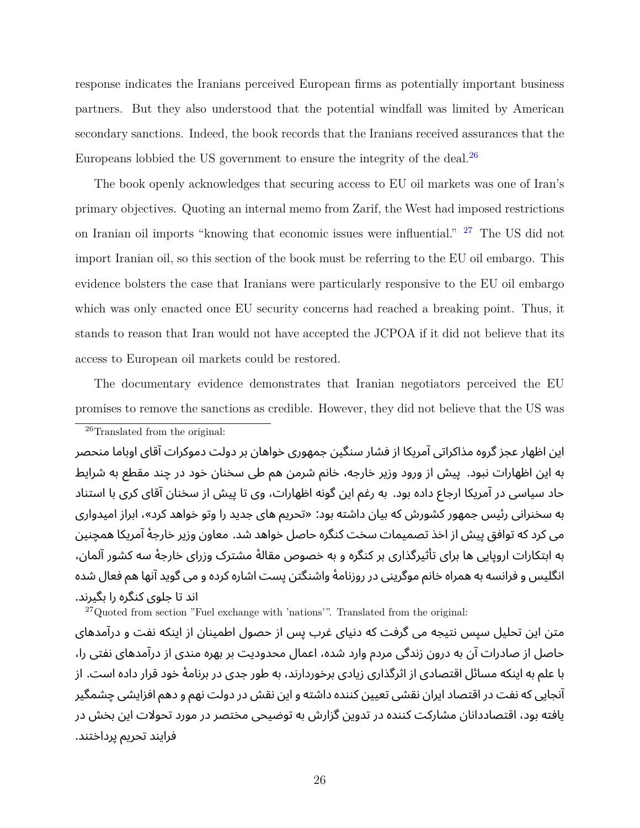response indicates the Iranians perceived European firms as potentially important business partners. But they also understood that the potential windfall was limited by American secondary sanctions. Indeed, the book records that the Iranians received assurances that the Europeans lobbied the US government to ensure the integrity of the deal. $^{26}$  $^{26}$  $^{26}$ 

The book openly acknowledges that securing access to EU oil markets was one of Iran's primary objectives. Quoting an internal memo from Zarif, the West had imposed restrictions on Iranian oil imports "knowing that economic issues were influential." <sup>[27](#page-25-1)</sup> The US did not import Iranian oil, so this section of the book must be referring to the EU oil embargo. This evidence bolsters the case that Iranians were particularly responsive to the EU oil embargo which was only enacted once EU security concerns had reached a breaking point. Thus, it stands to reason that Iran would not have accepted the JCPOA if it did not believe that its access to European oil markets could be restored.

The documentary evidence demonstrates that Iranian negotiators perceived the EU promises to remove the sanctions as credible. However, they did not believe that the US was

<span id="page-25-0"></span><sup>26</sup>Translated from the original:

این اظهار عجز گروه مذاکراتی آمریکا از فشار سنگین جمهوری خواهان بر دولت دموکرات آقای اوباما منحصر به این اظهارات نبود. پیش از ورود وزیر خارجه، خانم شرمن هم طی سخنان خود در چند مقطع به شرایط حاد سیاسی در آمریکا ارجاع داده بود. به رغم این گونه اظهارات، وی تا پیش از سخنان آقای کری با استناد به سخنرانی رئیس جمهور کشورش که بیان داشته بود: «تحریم های جدید را وتو خواهد کرد»، ابراز امیدواری می کرد که توافق پیش از اخذ تصمیمات سخت کنگره حاصل خواهد شد. معاون وزیر خارجۀ آمریکا همچنین به ابتکارات اروپایی ها برای تأثیرگذاری بر کنگره و به خصوص مقالۀ مشترک وزرای خارجۀ سه کشور آلمان، انگلیس و فرانسه به همراه خانم موگرینی در روزنامۀ واشنگتن پست اشاره کرده و می گوید آنها هم فعال شده اند تا جلوی کنگره را بگیرند.

<span id="page-25-1"></span> $^{27}$ Quoted from section "Fuel exchange with 'nations'". Translated from the original:

متن این تحلیل سپس نتیجه می گرفت که دنیای غرب پس از حصول اطمینان از اینکه نفت و درآمدهای حاصل از صادرات آن به درون زندگی مردم وارد شده، اعمال محدودیت بر بهره مندی از درآمدهای نفتی را، با علم به اینکه مسائل اقتصادی از اثرگذاری زیادی برخوردارند، به طور جدی در برنامۀ خود قرار داده است. از آنجایی که نفت در اقتصاد ایران نقشی تعیین کننده داشته و این نقش در دولت نهم و دهم افزایشی چشمگیر یافته بود، اقتصاددانان مشارکت کننده در تدوین گزارش به توضیحی مختصر در مورد تحولات این بخش در فرایند تحریم پرداختند.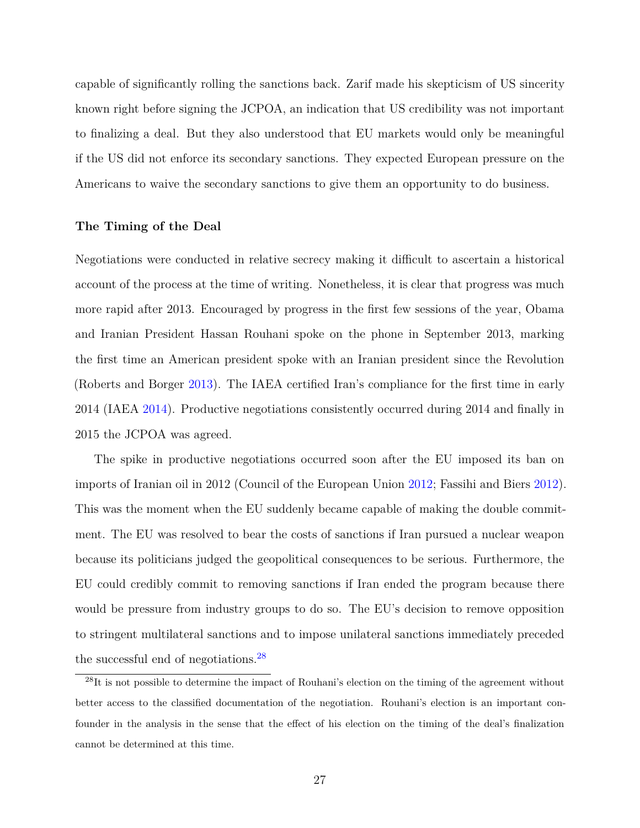capable of significantly rolling the sanctions back. Zarif made his skepticism of US sincerity known right before signing the JCPOA, an indication that US credibility was not important to finalizing a deal. But they also understood that EU markets would only be meaningful if the US did not enforce its secondary sanctions. They expected European pressure on the Americans to waive the secondary sanctions to give them an opportunity to do business.

#### **The Timing of the Deal**

Negotiations were conducted in relative secrecy making it difficult to ascertain a historical account of the process at the time of writing. Nonetheless, it is clear that progress was much more rapid after 2013. Encouraged by progress in the first few sessions of the year, Obama and Iranian President Hassan Rouhani spoke on the phone in September 2013, marking the first time an American president spoke with an Iranian president since the Revolution (Roberts and Borger [2013\)](#page-35-19). The IAEA certified Iran's compliance for the first time in early 2014 (IAEA [2014](#page-34-17)). Productive negotiations consistently occurred during 2014 and finally in 2015 the JCPOA was agreed.

The spike in productive negotiations occurred soon after the EU imposed its ban on imports of Iranian oil in 2012 (Council of the European Union [2012](#page-32-20); Fassihi and Biers [2012](#page-33-15)). This was the moment when the EU suddenly became capable of making the double commitment. The EU was resolved to bear the costs of sanctions if Iran pursued a nuclear weapon because its politicians judged the geopolitical consequences to be serious. Furthermore, the EU could credibly commit to removing sanctions if Iran ended the program because there would be pressure from industry groups to do so. The EU's decision to remove opposition to stringent multilateral sanctions and to impose unilateral sanctions immediately preceded the successful end of negotiations.[28](#page-26-0)

<span id="page-26-0"></span><sup>28</sup>It is not possible to determine the impact of Rouhani's election on the timing of the agreement without better access to the classified documentation of the negotiation. Rouhani's election is an important confounder in the analysis in the sense that the effect of his election on the timing of the deal's finalization cannot be determined at this time.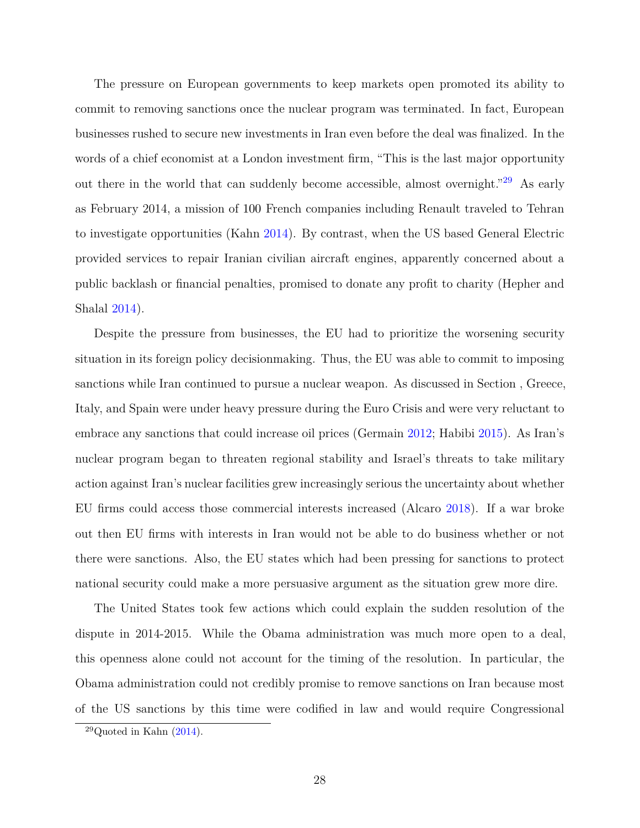The pressure on European governments to keep markets open promoted its ability to commit to removing sanctions once the nuclear program was terminated. In fact, European businesses rushed to secure new investments in Iran even before the deal was finalized. In the words of a chief economist at a London investment firm, "This is the last major opportunity out there in the world that can suddenly become accessible, almost overnight."[29](#page-27-0) As early as February 2014, a mission of 100 French companies including Renault traveled to Tehran to investigate opportunities (Kahn [2014\)](#page-34-18). By contrast, when the US based General Electric provided services to repair Iranian civilian aircraft engines, apparently concerned about a public backlash or financial penalties, promised to donate any profit to charity (Hepher and Shalal [2014\)](#page-34-19).

Despite the pressure from businesses, the EU had to prioritize the worsening security situation in its foreign policy decisionmaking. Thus, the EU was able to commit to imposing sanctions while Iran continued to pursue a nuclear weapon. As discussed in Section , Greece, Italy, and Spain were under heavy pressure during the Euro Crisis and were very reluctant to embrace any sanctions that could increase oil prices (Germain [2012](#page-33-18); Habibi [2015](#page-33-19)). As Iran's nuclear program began to threaten regional stability and Israel's threats to take military action against Iran's nuclear facilities grew increasingly serious the uncertainty about whether EU firms could access those commercial interests increased (Alcaro [2018](#page-31-4)). If a war broke out then EU firms with interests in Iran would not be able to do business whether or not there were sanctions. Also, the EU states which had been pressing for sanctions to protect national security could make a more persuasive argument as the situation grew more dire.

The United States took few actions which could explain the sudden resolution of the dispute in 2014-2015. While the Obama administration was much more open to a deal, this openness alone could not account for the timing of the resolution. In particular, the Obama administration could not credibly promise to remove sanctions on Iran because most of the US sanctions by this time were codified in law and would require Congressional

<span id="page-27-0"></span> $29$ Quoted in Kahn  $(2014)$  $(2014)$ .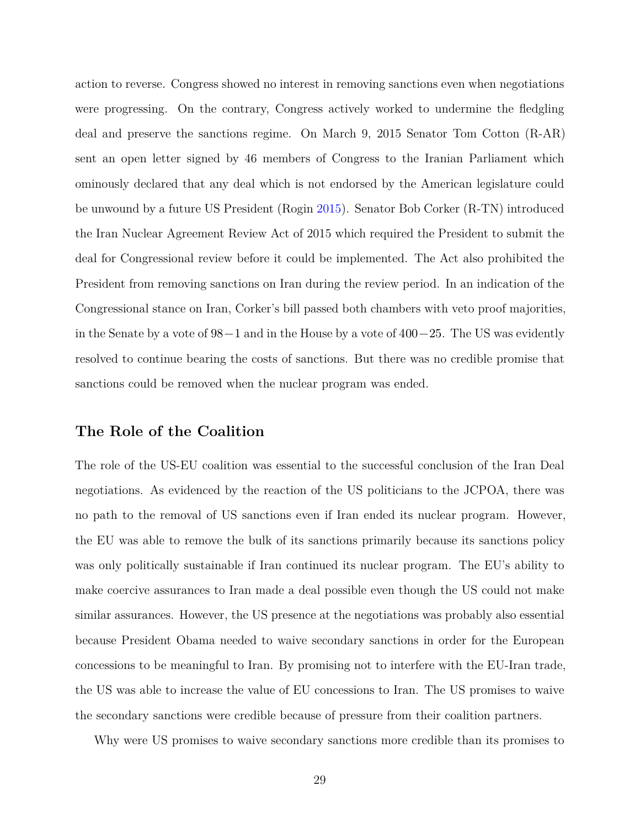action to reverse. Congress showed no interest in removing sanctions even when negotiations were progressing. On the contrary, Congress actively worked to undermine the fledgling deal and preserve the sanctions regime. On March 9, 2015 Senator Tom Cotton (R-AR) sent an open letter signed by 46 members of Congress to the Iranian Parliament which ominously declared that any deal which is not endorsed by the American legislature could be unwound by a future US President (Rogin [2015\)](#page-35-20). Senator Bob Corker (R-TN) introduced the Iran Nuclear Agreement Review Act of 2015 which required the President to submit the deal for Congressional review before it could be implemented. The Act also prohibited the President from removing sanctions on Iran during the review period. In an indication of the Congressional stance on Iran, Corker's bill passed both chambers with veto proof majorities, in the Senate by a vote of 98−1 and in the House by a vote of 400−25. The US was evidently resolved to continue bearing the costs of sanctions. But there was no credible promise that sanctions could be removed when the nuclear program was ended.

# **The Role of the Coalition**

The role of the US-EU coalition was essential to the successful conclusion of the Iran Deal negotiations. As evidenced by the reaction of the US politicians to the JCPOA, there was no path to the removal of US sanctions even if Iran ended its nuclear program. However, the EU was able to remove the bulk of its sanctions primarily because its sanctions policy was only politically sustainable if Iran continued its nuclear program. The EU's ability to make coercive assurances to Iran made a deal possible even though the US could not make similar assurances. However, the US presence at the negotiations was probably also essential because President Obama needed to waive secondary sanctions in order for the European concessions to be meaningful to Iran. By promising not to interfere with the EU-Iran trade, the US was able to increase the value of EU concessions to Iran. The US promises to waive the secondary sanctions were credible because of pressure from their coalition partners.

Why were US promises to waive secondary sanctions more credible than its promises to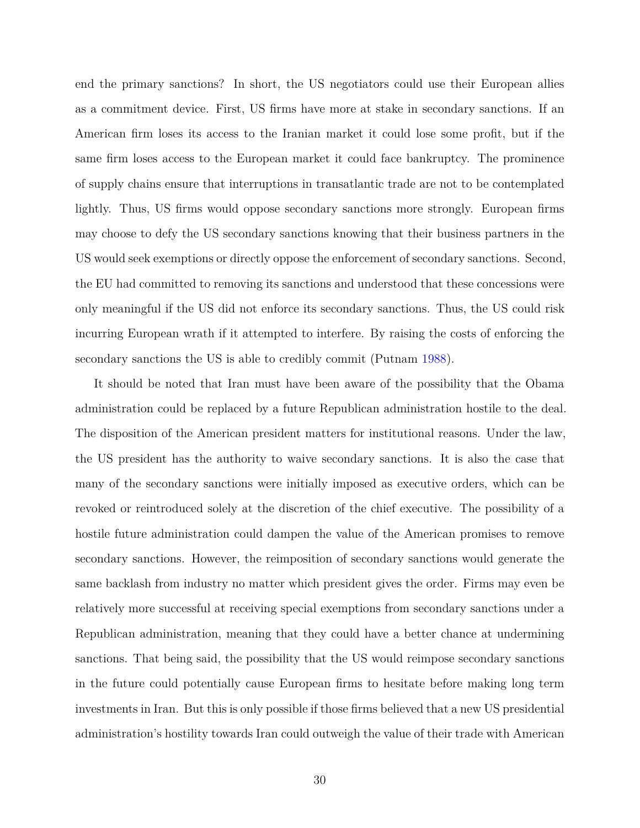end the primary sanctions? In short, the US negotiators could use their European allies as a commitment device. First, US firms have more at stake in secondary sanctions. If an American firm loses its access to the Iranian market it could lose some profit, but if the same firm loses access to the European market it could face bankruptcy. The prominence of supply chains ensure that interruptions in transatlantic trade are not to be contemplated lightly. Thus, US firms would oppose secondary sanctions more strongly. European firms may choose to defy the US secondary sanctions knowing that their business partners in the US would seek exemptions or directly oppose the enforcement of secondary sanctions. Second, the EU had committed to removing its sanctions and understood that these concessions were only meaningful if the US did not enforce its secondary sanctions. Thus, the US could risk incurring European wrath if it attempted to interfere. By raising the costs of enforcing the secondary sanctions the US is able to credibly commit (Putnam [1988](#page-35-9)).

It should be noted that Iran must have been aware of the possibility that the Obama administration could be replaced by a future Republican administration hostile to the deal. The disposition of the American president matters for institutional reasons. Under the law, the US president has the authority to waive secondary sanctions. It is also the case that many of the secondary sanctions were initially imposed as executive orders, which can be revoked or reintroduced solely at the discretion of the chief executive. The possibility of a hostile future administration could dampen the value of the American promises to remove secondary sanctions. However, the reimposition of secondary sanctions would generate the same backlash from industry no matter which president gives the order. Firms may even be relatively more successful at receiving special exemptions from secondary sanctions under a Republican administration, meaning that they could have a better chance at undermining sanctions. That being said, the possibility that the US would reimpose secondary sanctions in the future could potentially cause European firms to hesitate before making long term investments in Iran. But this is only possible if those firms believed that a new US presidential administration's hostility towards Iran could outweigh the value of their trade with American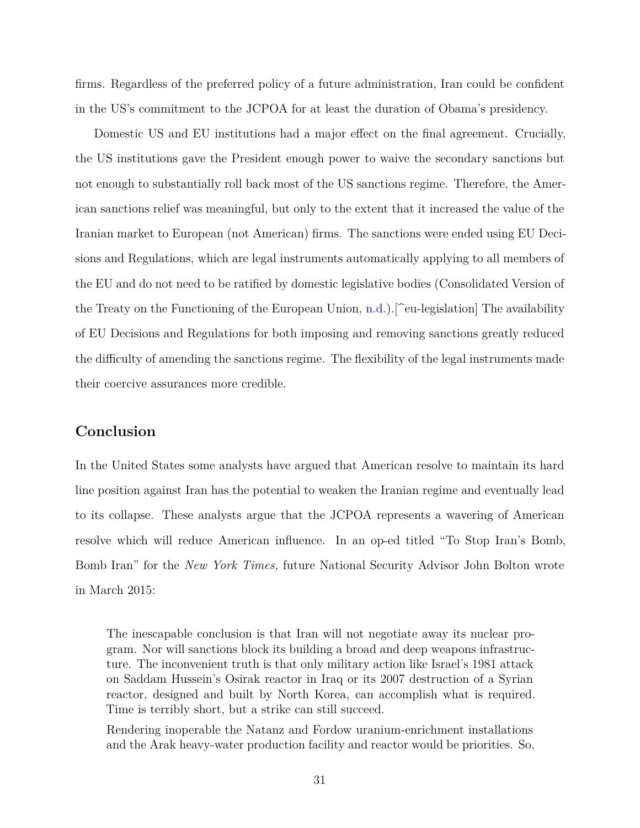firms. Regardless of the preferred policy of a future administration, Iran could be confident in the US's commitment to the JCPOA for at least the duration of Obama's presidency.

Domestic US and EU institutions had a major effect on the final agreement. Crucially, the US institutions gave the President enough power to waive the secondary sanctions but not enough to substantially roll back most of the US sanctions regime. Therefore, the American sanctions relief was meaningful, but only to the extent that it increased the value of the Iranian market to European (not American) firms. The sanctions were ended using EU Decisions and Regulations, which are legal instruments automatically applying to all members of the EU and do not need to be ratified by domestic legislative bodies (Consolidated Version of the Treaty on the Functioning of the European Union,  $n.d.$ ). [^eu-legislation] The availability of EU Decisions and Regulations for both imposing and removing sanctions greatly reduced the difficulty of amending the sanctions regime. The flexibility of the legal instruments made their coercive assurances more credible.

# **Conclusion**

In the United States some analysts have argued that American resolve to maintain its hard line position against Iran has the potential to weaken the Iranian regime and eventually lead to its collapse. These analysts argue that the JCPOA represents a wavering of American resolve which will reduce American influence. In an op-ed titled "To Stop Iran's Bomb, Bomb Iran" for the *New York Times,* future National Security Advisor John Bolton wrote in March 2015:

The inescapable conclusion is that Iran will not negotiate away its nuclear program. Nor will sanctions block its building a broad and deep weapons infrastructure. The inconvenient truth is that only military action like Israel's 1981 attack on Saddam Hussein's Osirak reactor in Iraq or its 2007 destruction of a Syrian reactor, designed and built by North Korea, can accomplish what is required. Time is terribly short, but a strike can still succeed.

Rendering inoperable the Natanz and Fordow uranium-enrichment installations and the Arak heavy-water production facility and reactor would be priorities. So,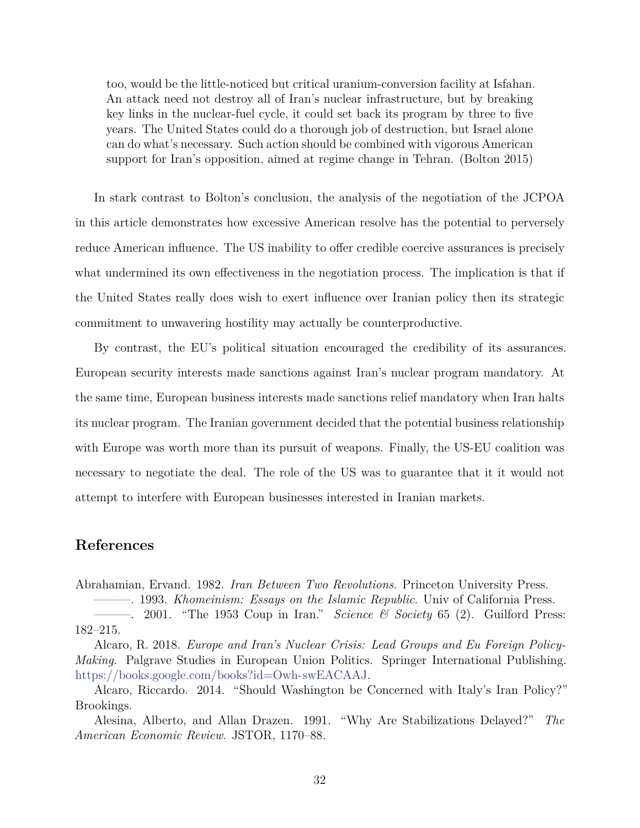too, would be the little-noticed but critical uranium-conversion facility at Isfahan. An attack need not destroy all of Iran's nuclear infrastructure, but by breaking key links in the nuclear-fuel cycle, it could set back its program by three to five years. The United States could do a thorough job of destruction, but Israel alone can do what's necessary. Such action should be combined with vigorous American support for Iran's opposition, aimed at regime change in Tehran. (Bolton 2015)

In stark contrast to Bolton's conclusion, the analysis of the negotiation of the JCPOA in this article demonstrates how excessive American resolve has the potential to perversely reduce American influence. The US inability to offer credible coercive assurances is precisely what undermined its own effectiveness in the negotiation process. The implication is that if the United States really does wish to exert influence over Iranian policy then its strategic commitment to unwavering hostility may actually be counterproductive.

By contrast, the EU's political situation encouraged the credibility of its assurances. European security interests made sanctions against Iran's nuclear program mandatory. At the same time, European business interests made sanctions relief mandatory when Iran halts its nuclear program. The Iranian government decided that the potential business relationship with Europe was worth more than its pursuit of weapons. Finally, the US-EU coalition was necessary to negotiate the deal. The role of the US was to guarantee that it it would not attempt to interfere with European businesses interested in Iranian markets.

# **References**

Abrahamian, Ervand. 1982. *Iran Between Two Revolutions*. Princeton University Press.

<span id="page-31-3"></span><span id="page-31-1"></span>———. 1993. *Khomeinism: Essays on the Islamic Republic*. Univ of California Press. ———. 2001. "The 1953 Coup in Iran." *Science & Society* 65 (2). Guilford Press:

<span id="page-31-4"></span><span id="page-31-2"></span>182–215. Alcaro, R. 2018. *Europe and Iran's Nuclear Crisis: Lead Groups and Eu Foreign Policy-Making*. Palgrave Studies in European Union Politics. Springer International Publishing. <https://books.google.com/books?id=Owh-swEACAAJ>.

<span id="page-31-5"></span>Alcaro, Riccardo. 2014. "Should Washington be Concerned with Italy's Iran Policy?" Brookings.

<span id="page-31-0"></span>Alesina, Alberto, and Allan Drazen. 1991. "Why Are Stabilizations Delayed?" *The American Economic Review*. JSTOR, 1170–88.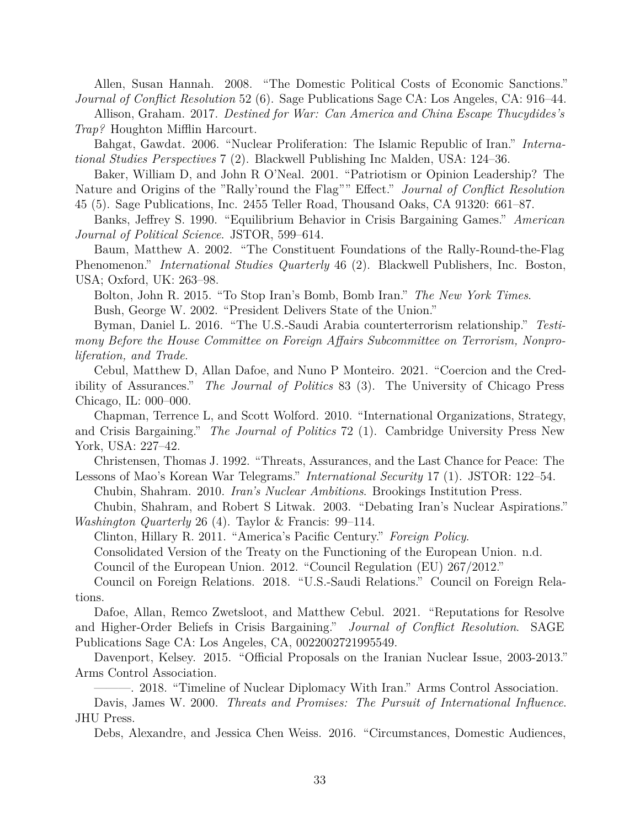<span id="page-32-7"></span>Allen, Susan Hannah. 2008. "The Domestic Political Costs of Economic Sanctions." *Journal of Conflict Resolution* 52 (6). Sage Publications Sage CA: Los Angeles, CA: 916–44.

<span id="page-32-19"></span>Allison, Graham. 2017. *Destined for War: Can America and China Escape Thucydides's Trap?* Houghton Mifflin Harcourt.

<span id="page-32-14"></span>Bahgat, Gawdat. 2006. "Nuclear Proliferation: The Islamic Republic of Iran." *International Studies Perspectives* 7 (2). Blackwell Publishing Inc Malden, USA: 124–36.

<span id="page-32-8"></span>Baker, William D, and John R O'Neal. 2001. "Patriotism or Opinion Leadership? The Nature and Origins of the "Rally'round the Flag"" Effect." *Journal of Conflict Resolution* 45 (5). Sage Publications, Inc. 2455 Teller Road, Thousand Oaks, CA 91320: 661–87.

<span id="page-32-0"></span>Banks, Jeffrey S. 1990. "Equilibrium Behavior in Crisis Bargaining Games." *American Journal of Political Science*. JSTOR, 599–614.

<span id="page-32-9"></span>Baum, Matthew A. 2002. "The Constituent Foundations of the Rally-Round-the-Flag Phenomenon." *International Studies Quarterly* 46 (2). Blackwell Publishers, Inc. Boston, USA; Oxford, UK: 263–98.

Bolton, John R. 2015. "To Stop Iran's Bomb, Bomb Iran." *The New York Times*. Bush, George W. 2002. "President Delivers State of the Union."

<span id="page-32-17"></span><span id="page-32-15"></span>Byman, Daniel L. 2016. "The U.S.-Saudi Arabia counterterrorism relationship." *Testimony Before the House Committee on Foreign Affairs Subcommittee on Terrorism, Nonproliferation, and Trade*.

<span id="page-32-6"></span>Cebul, Matthew D, Allan Dafoe, and Nuno P Monteiro. 2021. "Coercion and the Credibility of Assurances." *The Journal of Politics* 83 (3). The University of Chicago Press Chicago, IL: 000–000.

<span id="page-32-3"></span>Chapman, Terrence L, and Scott Wolford. 2010. "International Organizations, Strategy, and Crisis Bargaining." *The Journal of Politics* 72 (1). Cambridge University Press New York, USA: 227–42.

<span id="page-32-4"></span>Christensen, Thomas J. 1992. "Threats, Assurances, and the Last Chance for Peace: The Lessons of Mao's Korean War Telegrams." *International Security* 17 (1). JSTOR: 122–54.

<span id="page-32-10"></span>Chubin, Shahram. 2010. *Iran's Nuclear Ambitions*. Brookings Institution Press.

<span id="page-32-13"></span>Chubin, Shahram, and Robert S Litwak. 2003. "Debating Iran's Nuclear Aspirations." *Washington Quarterly* 26 (4). Taylor & Francis: 99–114.

Clinton, Hillary R. 2011. "America's Pacific Century." *Foreign Policy*.

<span id="page-32-18"></span>Consolidated Version of the Treaty on the Functioning of the European Union. n.d.

<span id="page-32-21"></span><span id="page-32-20"></span>Council of the European Union. 2012. "Council Regulation (EU) 267/2012."

<span id="page-32-16"></span>Council on Foreign Relations. 2018. "U.S.-Saudi Relations." Council on Foreign Relations.

<span id="page-32-2"></span>Dafoe, Allan, Remco Zwetsloot, and Matthew Cebul. 2021. "Reputations for Resolve and Higher-Order Beliefs in Crisis Bargaining." *Journal of Conflict Resolution*. SAGE Publications Sage CA: Los Angeles, CA, 0022002721995549.

<span id="page-32-12"></span>Davenport, Kelsey. 2015. "Official Proposals on the Iranian Nuclear Issue, 2003-2013." Arms Control Association.

<span id="page-32-11"></span>———. 2018. "Timeline of Nuclear Diplomacy With Iran." Arms Control Association. Davis, James W. 2000. *Threats and Promises: The Pursuit of International Influence*. JHU Press.

<span id="page-32-5"></span><span id="page-32-1"></span>Debs, Alexandre, and Jessica Chen Weiss. 2016. "Circumstances, Domestic Audiences,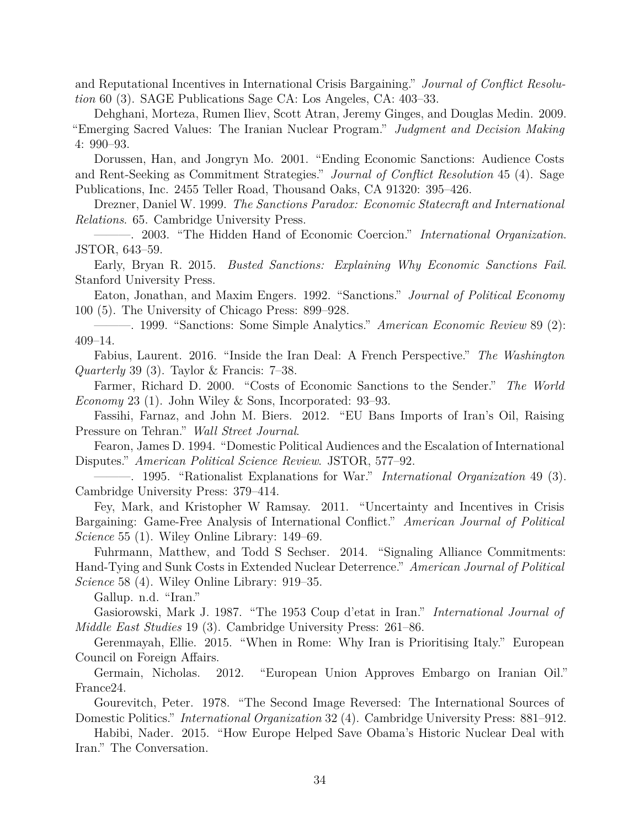and Reputational Incentives in International Crisis Bargaining." *Journal of Conflict Resolution* 60 (3). SAGE Publications Sage CA: Los Angeles, CA: 403–33.

<span id="page-33-12"></span>Dehghani, Morteza, Rumen Iliev, Scott Atran, Jeremy Ginges, and Douglas Medin. 2009. "Emerging Sacred Values: The Iranian Nuclear Program." *Judgment and Decision Making* 4: 990–93.

<span id="page-33-4"></span>Dorussen, Han, and Jongryn Mo. 2001. "Ending Economic Sanctions: Audience Costs and Rent-Seeking as Commitment Strategies." *Journal of Conflict Resolution* 45 (4). Sage Publications, Inc. 2455 Teller Road, Thousand Oaks, CA 91320: 395–426.

<span id="page-33-11"></span>Drezner, Daniel W. 1999. *The Sanctions Paradox: Economic Statecraft and International Relations*. 65. Cambridge University Press.

<span id="page-33-2"></span>———. 2003. "The Hidden Hand of Economic Coercion." *International Organization*. JSTOR, 643–59.

<span id="page-33-8"></span>Early, Bryan R. 2015. *Busted Sanctions: Explaining Why Economic Sanctions Fail*. Stanford University Press.

<span id="page-33-0"></span>Eaton, Jonathan, and Maxim Engers. 1992. "Sanctions." *Journal of Political Economy* 100 (5). The University of Chicago Press: 899–928.

<span id="page-33-1"></span>———. 1999. "Sanctions: Some Simple Analytics." *American Economic Review* 89 (2): 409–14.

<span id="page-33-17"></span>Fabius, Laurent. 2016. "Inside the Iran Deal: A French Perspective." *The Washington Quarterly* 39 (3). Taylor & Francis: 7–38.

<span id="page-33-7"></span>Farmer, Richard D. 2000. "Costs of Economic Sanctions to the Sender." *The World Economy* 23 (1). John Wiley & Sons, Incorporated: 93–93.

<span id="page-33-15"></span>Fassihi, Farnaz, and John M. Biers. 2012. "EU Bans Imports of Iran's Oil, Raising Pressure on Tehran." *Wall Street Journal*.

<span id="page-33-3"></span>Fearon, James D. 1994. "Domestic Political Audiences and the Escalation of International Disputes." *American Political Science Review*. JSTOR, 577–92.

<span id="page-33-6"></span>———. 1995. "Rationalist Explanations for War." *International Organization* 49 (3). Cambridge University Press: 379–414.

<span id="page-33-5"></span>Fey, Mark, and Kristopher W Ramsay. 2011. "Uncertainty and Incentives in Crisis Bargaining: Game-Free Analysis of International Conflict." *American Journal of Political Science* 55 (1). Wiley Online Library: 149–69.

<span id="page-33-10"></span>Fuhrmann, Matthew, and Todd S Sechser. 2014. "Signaling Alliance Commitments: Hand-Tying and Sunk Costs in Extended Nuclear Deterrence." *American Journal of Political Science* 58 (4). Wiley Online Library: 919–35.

<span id="page-33-13"></span>Gallup. n.d. "Iran."

<span id="page-33-14"></span>Gasiorowski, Mark J. 1987. "The 1953 Coup d'etat in Iran." *International Journal of Middle East Studies* 19 (3). Cambridge University Press: 261–86.

<span id="page-33-16"></span>Gerenmayah, Ellie. 2015. "When in Rome: Why Iran is Prioritising Italy." European Council on Foreign Affairs.

<span id="page-33-18"></span>Germain, Nicholas. 2012. "European Union Approves Embargo on Iranian Oil." France24.

<span id="page-33-9"></span>Gourevitch, Peter. 1978. "The Second Image Reversed: The International Sources of Domestic Politics." *International Organization* 32 (4). Cambridge University Press: 881–912.

<span id="page-33-19"></span>Habibi, Nader. 2015. "How Europe Helped Save Obama's Historic Nuclear Deal with Iran." The Conversation.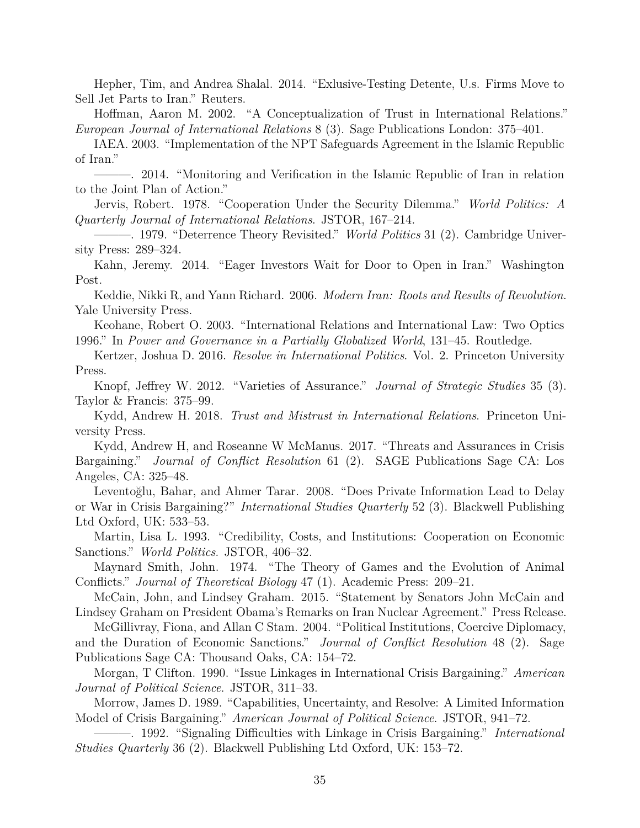<span id="page-34-19"></span>Hepher, Tim, and Andrea Shalal. 2014. "Exlusive-Testing Detente, U.s. Firms Move to Sell Jet Parts to Iran." Reuters.

<span id="page-34-0"></span>Hoffman, Aaron M. 2002. "A Conceptualization of Trust in International Relations." *European Journal of International Relations* 8 (3). Sage Publications London: 375–401.

<span id="page-34-15"></span>IAEA. 2003. "Implementation of the NPT Safeguards Agreement in the Islamic Republic of Iran."

<span id="page-34-17"></span>———. 2014. "Monitoring and Verification in the Islamic Republic of Iran in relation to the Joint Plan of Action."

<span id="page-34-3"></span>Jervis, Robert. 1978. "Cooperation Under the Security Dilemma." *World Politics: A Quarterly Journal of International Relations*. JSTOR, 167–214.

<span id="page-34-4"></span>———. 1979. "Deterrence Theory Revisited." *World Politics* 31 (2). Cambridge University Press: 289–324.

<span id="page-34-18"></span>Kahn, Jeremy. 2014. "Eager Investors Wait for Door to Open in Iran." Washington Post.

<span id="page-34-16"></span>Keddie, Nikki R, and Yann Richard. 2006. *Modern Iran: Roots and Results of Revolution*. Yale University Press.

<span id="page-34-1"></span>Keohane, Robert O. 2003. "International Relations and International Law: Two Optics 1996." In *Power and Governance in a Partially Globalized World*, 131–45. Routledge.

<span id="page-34-13"></span>Kertzer, Joshua D. 2016. *Resolve in International Politics*. Vol. 2. Princeton University Press.

<span id="page-34-8"></span>Knopf, Jeffrey W. 2012. "Varieties of Assurance." *Journal of Strategic Studies* 35 (3). Taylor & Francis: 375–99.

<span id="page-34-2"></span>Kydd, Andrew H. 2018. *Trust and Mistrust in International Relations*. Princeton University Press.

<span id="page-34-11"></span>Kydd, Andrew H, and Roseanne W McManus. 2017. "Threats and Assurances in Crisis Bargaining." *Journal of Conflict Resolution* 61 (2). SAGE Publications Sage CA: Los Angeles, CA: 325–48.

<span id="page-34-10"></span>Leventoğlu, Bahar, and Ahmer Tarar. 2008. "Does Private Information Lead to Delay or War in Crisis Bargaining?" *International Studies Quarterly* 52 (3). Blackwell Publishing Ltd Oxford, UK: 533–53.

<span id="page-34-14"></span>Martin, Lisa L. 1993. "Credibility, Costs, and Institutions: Cooperation on Economic Sanctions." *World Politics*. JSTOR, 406–32.

<span id="page-34-9"></span>Maynard Smith, John. 1974. "The Theory of Games and the Evolution of Animal Conflicts." *Journal of Theoretical Biology* 47 (1). Academic Press: 209–21.

McCain, John, and Lindsey Graham. 2015. "Statement by Senators John McCain and Lindsey Graham on President Obama's Remarks on Iran Nuclear Agreement." Press Release.

<span id="page-34-12"></span>McGillivray, Fiona, and Allan C Stam. 2004. "Political Institutions, Coercive Diplomacy, and the Duration of Economic Sanctions." *Journal of Conflict Resolution* 48 (2). Sage Publications Sage CA: Thousand Oaks, CA: 154–72.

<span id="page-34-7"></span>Morgan, T Clifton. 1990. "Issue Linkages in International Crisis Bargaining." *American Journal of Political Science*. JSTOR, 311–33.

<span id="page-34-5"></span>Morrow, James D. 1989. "Capabilities, Uncertainty, and Resolve: A Limited Information Model of Crisis Bargaining." *American Journal of Political Science*. JSTOR, 941–72.

<span id="page-34-6"></span>———. 1992. "Signaling Difficulties with Linkage in Crisis Bargaining." *International Studies Quarterly* 36 (2). Blackwell Publishing Ltd Oxford, UK: 153–72.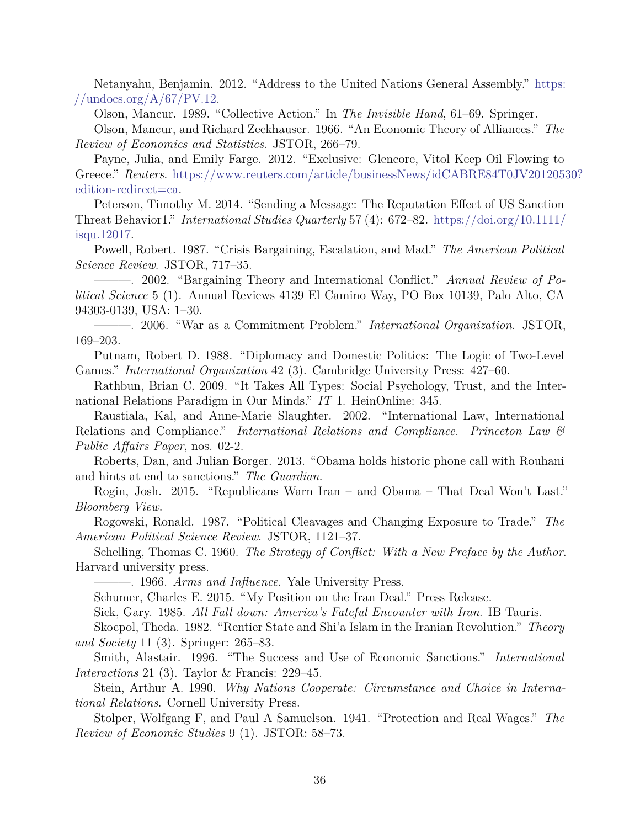<span id="page-35-17"></span>Netanyahu, Benjamin. 2012. "Address to the United Nations General Assembly." [https:](https://undocs.org/A/67/PV.12) //undocs.org/ $A/67/PV.12$ .

<span id="page-35-13"></span>Olson, Mancur. 1989. "Collective Action." In *The Invisible Hand*, 61–69. Springer.

<span id="page-35-12"></span>Olson, Mancur, and Richard Zeckhauser. 1966. "An Economic Theory of Alliances." *The Review of Economics and Statistics*. JSTOR, 266–79.

<span id="page-35-16"></span>Payne, Julia, and Emily Farge. 2012. "Exclusive: Glencore, Vitol Keep Oil Flowing to Greece." *Reuters*. [https://www.reuters.com/article/businessNews/idCABRE84T0JV20120530?](https://www.reuters.com/article/businessNews/idCABRE84T0JV20120530?edition-redirect=ca) [edition-redirect=ca.](https://www.reuters.com/article/businessNews/idCABRE84T0JV20120530?edition-redirect=ca)

<span id="page-35-11"></span>Peterson, Timothy M. 2014. "Sending a Message: The Reputation Effect of US Sanction Threat Behavior1." *International Studies Quarterly* 57 (4): 672–82. [https://doi.org/10.1111/](https://doi.org/10.1111/isqu.12017) [isqu.12017](https://doi.org/10.1111/isqu.12017).

<span id="page-35-2"></span>Powell, Robert. 1987. "Crisis Bargaining, Escalation, and Mad." *The American Political Science Review*. JSTOR, 717–35.

<span id="page-35-6"></span>———. 2002. "Bargaining Theory and International Conflict." *Annual Review of Political Science* 5 (1). Annual Reviews 4139 El Camino Way, PO Box 10139, Palo Alto, CA 94303-0139, USA: 1–30.

<span id="page-35-18"></span>———. 2006. "War as a Commitment Problem." *International Organization*. JSTOR, 169–203.

<span id="page-35-9"></span>Putnam, Robert D. 1988. "Diplomacy and Domestic Politics: The Logic of Two-Level Games." *International Organization* 42 (3). Cambridge University Press: 427–60.

<span id="page-35-1"></span>Rathbun, Brian C. 2009. "It Takes All Types: Social Psychology, Trust, and the International Relations Paradigm in Our Minds." *IT* 1. HeinOnline: 345.

<span id="page-35-4"></span>Raustiala, Kal, and Anne-Marie Slaughter. 2002. "International Law, International Relations and Compliance." *International Relations and Compliance. Princeton Law & Public Affairs Paper*, nos. 02-2.

<span id="page-35-19"></span>Roberts, Dan, and Julian Borger. 2013. "Obama holds historic phone call with Rouhani and hints at end to sanctions." *The Guardian*.

<span id="page-35-20"></span>Rogin, Josh. 2015. "Republicans Warn Iran – and Obama – That Deal Won't Last." *Bloomberg View*.

<span id="page-35-8"></span>Rogowski, Ronald. 1987. "Political Cleavages and Changing Exposure to Trade." *The American Political Science Review*. JSTOR, 1121–37.

<span id="page-35-10"></span>Schelling, Thomas C. 1960. *The Strategy of Conflict: With a New Preface by the Author*. Harvard university press.

———. 1966. *Arms and Influence*. Yale University Press.

<span id="page-35-0"></span>Schumer, Charles E. 2015. "My Position on the Iran Deal." Press Release.

<span id="page-35-15"></span>Sick, Gary. 1985. *All Fall down: America's Fateful Encounter with Iran*. IB Tauris.

<span id="page-35-14"></span>Skocpol, Theda. 1982. "Rentier State and Shi'a Islam in the Iranian Revolution." *Theory and Society* 11 (3). Springer: 265–83.

<span id="page-35-5"></span>Smith, Alastair. 1996. "The Success and Use of Economic Sanctions." *International Interactions* 21 (3). Taylor & Francis: 229–45.

<span id="page-35-3"></span>Stein, Arthur A. 1990. *Why Nations Cooperate: Circumstance and Choice in International Relations*. Cornell University Press.

<span id="page-35-7"></span>Stolper, Wolfgang F, and Paul A Samuelson. 1941. "Protection and Real Wages." *The Review of Economic Studies* 9 (1). JSTOR: 58–73.